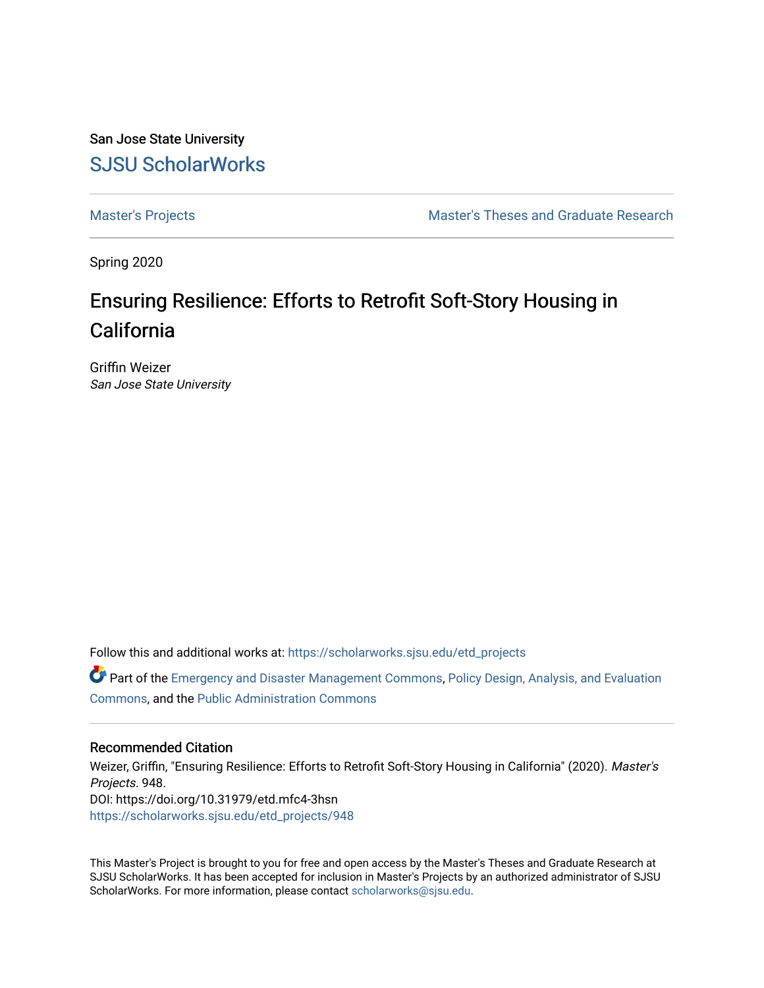San Jose State University [SJSU ScholarWorks](https://scholarworks.sjsu.edu/) 

[Master's Projects](https://scholarworks.sjsu.edu/etd_projects) [Master's Theses and Graduate Research](https://scholarworks.sjsu.edu/etd) 

Spring 2020

# Ensuring Resilience: Efforts to Retrofit Soft-Story Housing in California

Griffin Weizer San Jose State University

Follow this and additional works at: [https://scholarworks.sjsu.edu/etd\\_projects](https://scholarworks.sjsu.edu/etd_projects?utm_source=scholarworks.sjsu.edu%2Fetd_projects%2F948&utm_medium=PDF&utm_campaign=PDFCoverPages) 

Part of the [Emergency and Disaster Management Commons,](http://network.bepress.com/hgg/discipline/1321?utm_source=scholarworks.sjsu.edu%2Fetd_projects%2F948&utm_medium=PDF&utm_campaign=PDFCoverPages) [Policy Design, Analysis, and Evaluation](http://network.bepress.com/hgg/discipline/1032?utm_source=scholarworks.sjsu.edu%2Fetd_projects%2F948&utm_medium=PDF&utm_campaign=PDFCoverPages) [Commons](http://network.bepress.com/hgg/discipline/1032?utm_source=scholarworks.sjsu.edu%2Fetd_projects%2F948&utm_medium=PDF&utm_campaign=PDFCoverPages), and the [Public Administration Commons](http://network.bepress.com/hgg/discipline/398?utm_source=scholarworks.sjsu.edu%2Fetd_projects%2F948&utm_medium=PDF&utm_campaign=PDFCoverPages) 

#### Recommended Citation

Weizer, Griffin, "Ensuring Resilience: Efforts to Retrofit Soft-Story Housing in California" (2020). Master's Projects. 948. DOI: https://doi.org/10.31979/etd.mfc4-3hsn [https://scholarworks.sjsu.edu/etd\\_projects/948](https://scholarworks.sjsu.edu/etd_projects/948?utm_source=scholarworks.sjsu.edu%2Fetd_projects%2F948&utm_medium=PDF&utm_campaign=PDFCoverPages) 

This Master's Project is brought to you for free and open access by the Master's Theses and Graduate Research at SJSU ScholarWorks. It has been accepted for inclusion in Master's Projects by an authorized administrator of SJSU ScholarWorks. For more information, please contact [scholarworks@sjsu.edu](mailto:scholarworks@sjsu.edu).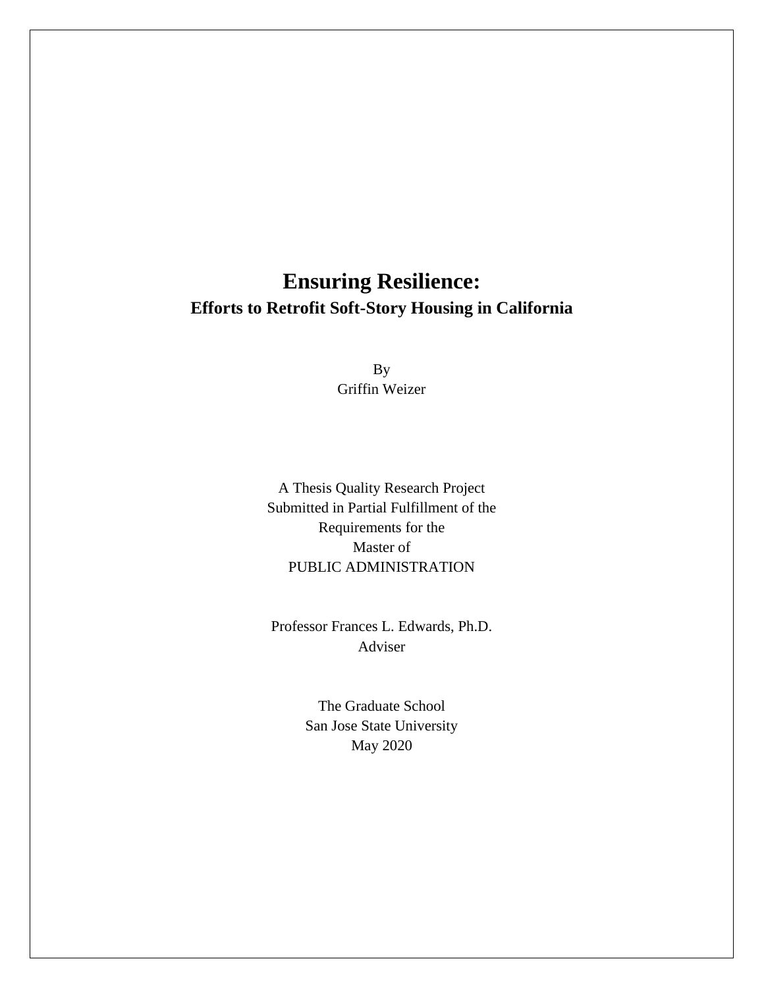# **Ensuring Resilience: Efforts to Retrofit Soft-Story Housing in California**

By Griffin Weizer

A Thesis Quality Research Project Submitted in Partial Fulfillment of the Requirements for the Master of PUBLIC ADMINISTRATION

Professor Frances L. Edwards, Ph.D. Adviser

> The Graduate School San Jose State University May 2020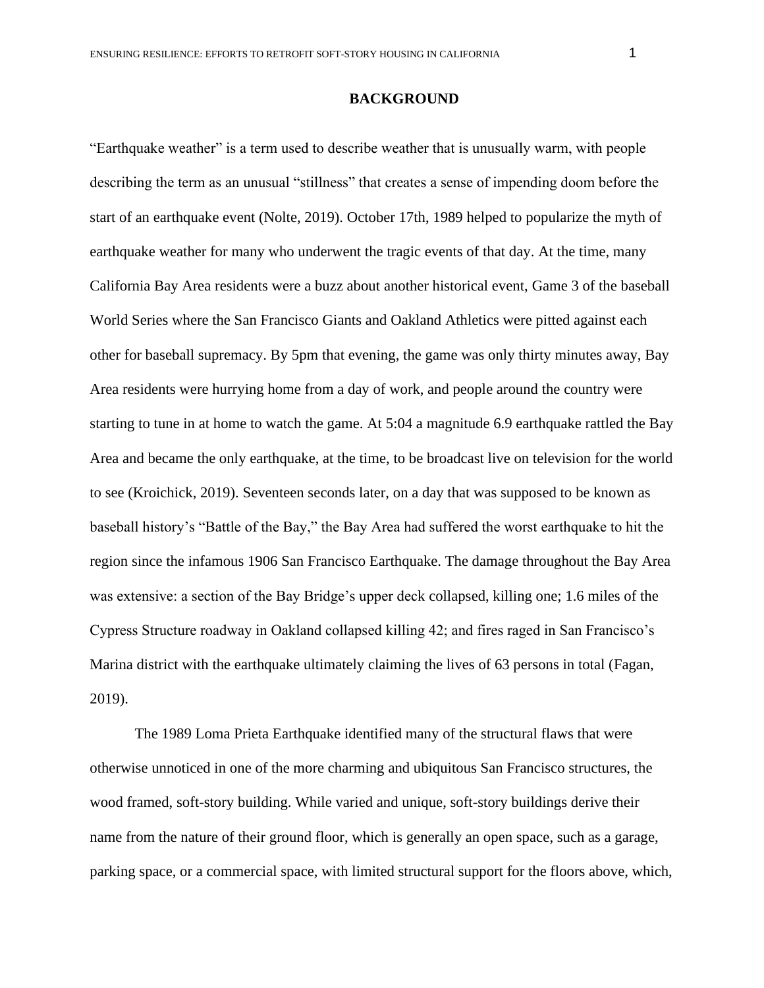### **BACKGROUND**

"Earthquake weather" is a term used to describe weather that is unusually warm, with people describing the term as an unusual "stillness" that creates a sense of impending doom before the start of an earthquake event (Nolte, 2019). October 17th, 1989 helped to popularize the myth of earthquake weather for many who underwent the tragic events of that day. At the time, many California Bay Area residents were a buzz about another historical event, Game 3 of the baseball World Series where the San Francisco Giants and Oakland Athletics were pitted against each other for baseball supremacy. By 5pm that evening, the game was only thirty minutes away, Bay Area residents were hurrying home from a day of work, and people around the country were starting to tune in at home to watch the game. At 5:04 a magnitude 6.9 earthquake rattled the Bay Area and became the only earthquake, at the time, to be broadcast live on television for the world to see (Kroichick, 2019). Seventeen seconds later, on a day that was supposed to be known as baseball history's "Battle of the Bay," the Bay Area had suffered the worst earthquake to hit the region since the infamous 1906 San Francisco Earthquake. The damage throughout the Bay Area was extensive: a section of the Bay Bridge's upper deck collapsed, killing one; 1.6 miles of the Cypress Structure roadway in Oakland collapsed killing 42; and fires raged in San Francisco's Marina district with the earthquake ultimately claiming the lives of 63 persons in total (Fagan, 2019).

The 1989 Loma Prieta Earthquake identified many of the structural flaws that were otherwise unnoticed in one of the more charming and ubiquitous San Francisco structures, the wood framed, soft-story building. While varied and unique, soft-story buildings derive their name from the nature of their ground floor, which is generally an open space, such as a garage, parking space, or a commercial space, with limited structural support for the floors above, which,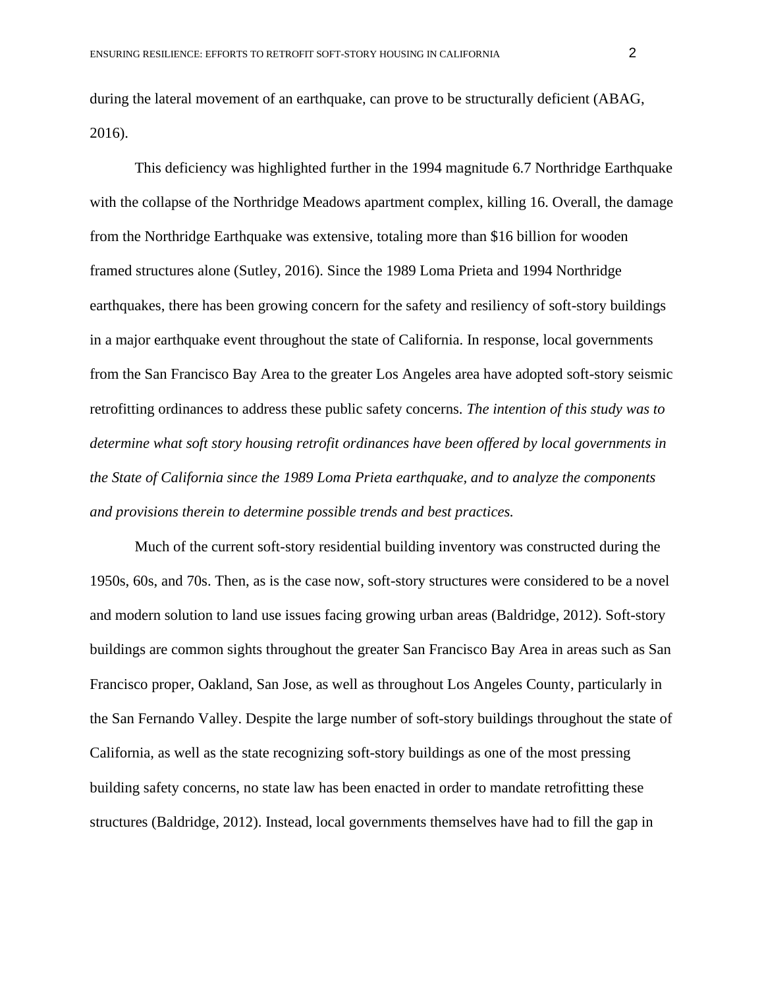during the lateral movement of an earthquake, can prove to be structurally deficient (ABAG, 2016).

This deficiency was highlighted further in the 1994 magnitude 6.7 Northridge Earthquake with the collapse of the Northridge Meadows apartment complex, killing 16. Overall, the damage from the Northridge Earthquake was extensive, totaling more than \$16 billion for wooden framed structures alone (Sutley, 2016). Since the 1989 Loma Prieta and 1994 Northridge earthquakes, there has been growing concern for the safety and resiliency of soft-story buildings in a major earthquake event throughout the state of California. In response, local governments from the San Francisco Bay Area to the greater Los Angeles area have adopted soft-story seismic retrofitting ordinances to address these public safety concerns. *The intention of this study was to determine what soft story housing retrofit ordinances have been offered by local governments in the State of California since the 1989 Loma Prieta earthquake, and to analyze the components and provisions therein to determine possible trends and best practices.*

Much of the current soft-story residential building inventory was constructed during the 1950s, 60s, and 70s. Then, as is the case now, soft-story structures were considered to be a novel and modern solution to land use issues facing growing urban areas (Baldridge, 2012). Soft-story buildings are common sights throughout the greater San Francisco Bay Area in areas such as San Francisco proper, Oakland, San Jose, as well as throughout Los Angeles County, particularly in the San Fernando Valley. Despite the large number of soft-story buildings throughout the state of California, as well as the state recognizing soft-story buildings as one of the most pressing building safety concerns, no state law has been enacted in order to mandate retrofitting these structures (Baldridge, 2012). Instead, local governments themselves have had to fill the gap in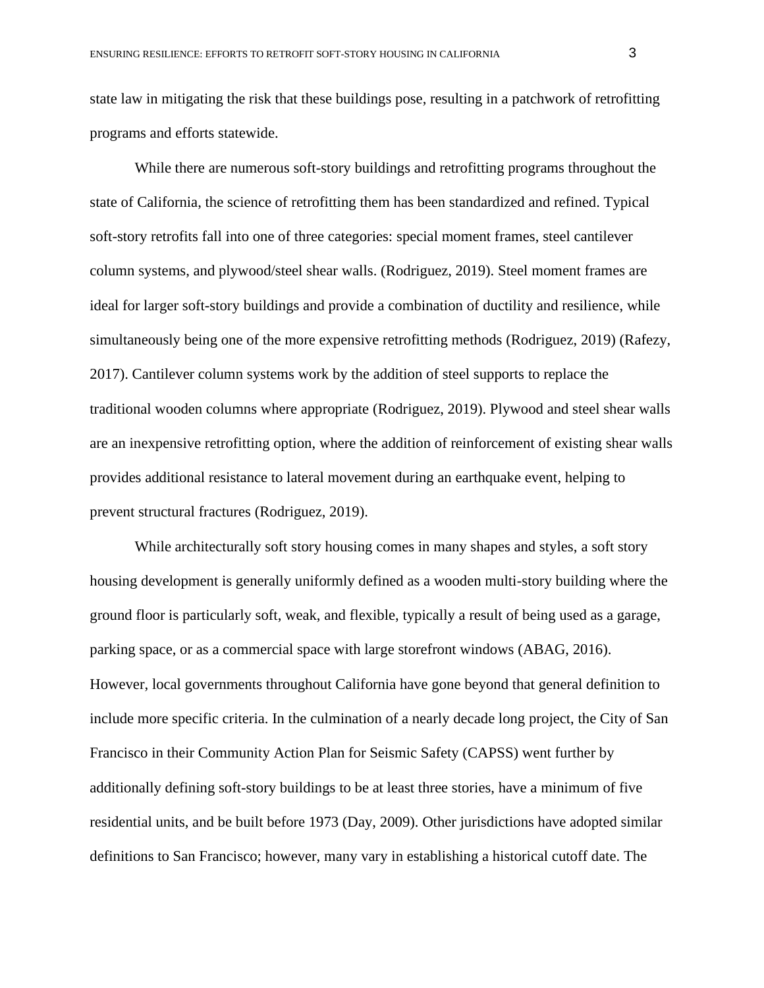state law in mitigating the risk that these buildings pose, resulting in a patchwork of retrofitting programs and efforts statewide.

While there are numerous soft-story buildings and retrofitting programs throughout the state of California, the science of retrofitting them has been standardized and refined. Typical soft-story retrofits fall into one of three categories: special moment frames, steel cantilever column systems, and plywood/steel shear walls. (Rodriguez, 2019). Steel moment frames are ideal for larger soft-story buildings and provide a combination of ductility and resilience, while simultaneously being one of the more expensive retrofitting methods (Rodriguez, 2019) (Rafezy, 2017). Cantilever column systems work by the addition of steel supports to replace the traditional wooden columns where appropriate (Rodriguez, 2019). Plywood and steel shear walls are an inexpensive retrofitting option, where the addition of reinforcement of existing shear walls provides additional resistance to lateral movement during an earthquake event, helping to prevent structural fractures (Rodriguez, 2019).

While architecturally soft story housing comes in many shapes and styles, a soft story housing development is generally uniformly defined as a wooden multi-story building where the ground floor is particularly soft, weak, and flexible, typically a result of being used as a garage, parking space, or as a commercial space with large storefront windows (ABAG, 2016). However, local governments throughout California have gone beyond that general definition to include more specific criteria. In the culmination of a nearly decade long project, the City of San Francisco in their Community Action Plan for Seismic Safety (CAPSS) went further by additionally defining soft-story buildings to be at least three stories, have a minimum of five residential units, and be built before 1973 (Day, 2009). Other jurisdictions have adopted similar definitions to San Francisco; however, many vary in establishing a historical cutoff date. The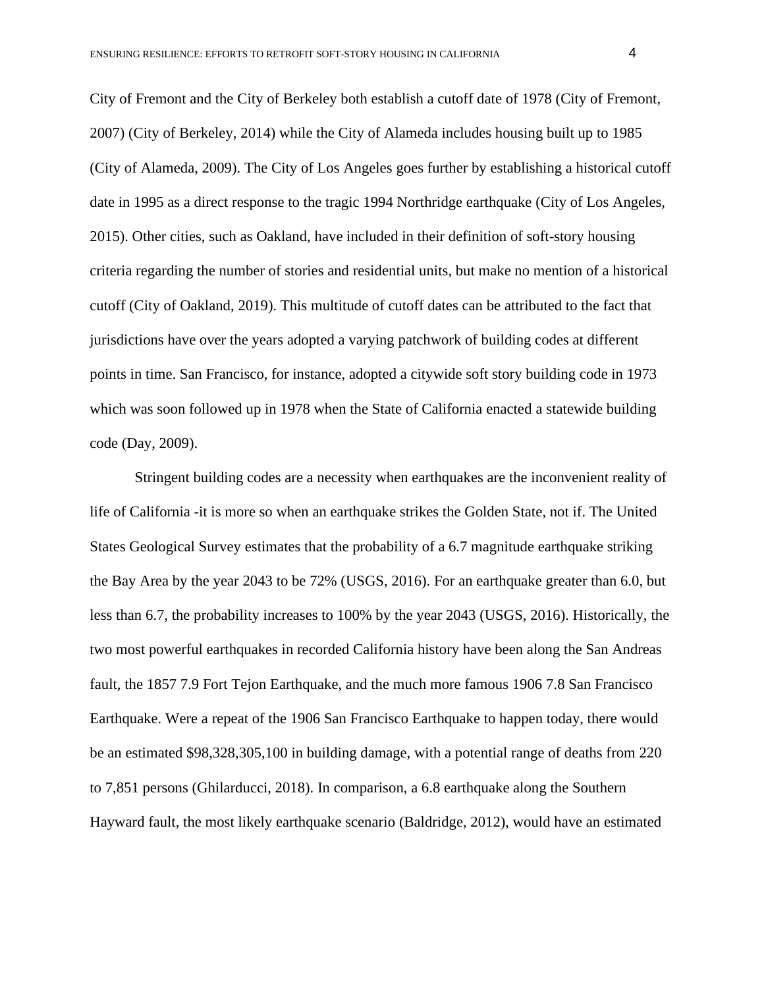City of Fremont and the City of Berkeley both establish a cutoff date of 1978 (City of Fremont, 2007) (City of Berkeley, 2014) while the City of Alameda includes housing built up to 1985 (City of Alameda, 2009). The City of Los Angeles goes further by establishing a historical cutoff date in 1995 as a direct response to the tragic 1994 Northridge earthquake (City of Los Angeles, 2015). Other cities, such as Oakland, have included in their definition of soft-story housing criteria regarding the number of stories and residential units, but make no mention of a historical cutoff (City of Oakland, 2019). This multitude of cutoff dates can be attributed to the fact that jurisdictions have over the years adopted a varying patchwork of building codes at different points in time. San Francisco, for instance, adopted a citywide soft story building code in 1973 which was soon followed up in 1978 when the State of California enacted a statewide building code (Day, 2009).

Stringent building codes are a necessity when earthquakes are the inconvenient reality of life of California -it is more so when an earthquake strikes the Golden State, not if. The United States Geological Survey estimates that the probability of a 6.7 magnitude earthquake striking the Bay Area by the year 2043 to be 72% (USGS, 2016). For an earthquake greater than 6.0, but less than 6.7, the probability increases to 100% by the year 2043 (USGS, 2016). Historically, the two most powerful earthquakes in recorded California history have been along the San Andreas fault, the 1857 7.9 Fort Tejon Earthquake, and the much more famous 1906 7.8 San Francisco Earthquake. Were a repeat of the 1906 San Francisco Earthquake to happen today, there would be an estimated \$98,328,305,100 in building damage, with a potential range of deaths from 220 to 7,851 persons (Ghilarducci, 2018). In comparison, a 6.8 earthquake along the Southern Hayward fault, the most likely earthquake scenario (Baldridge, 2012), would have an estimated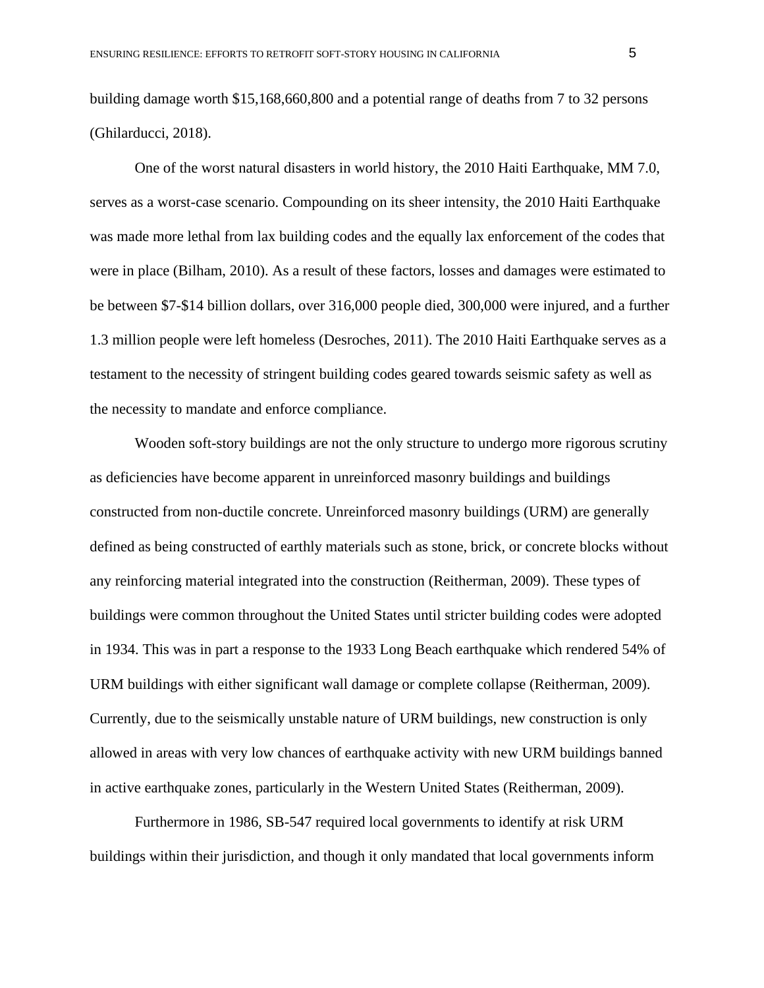building damage worth \$15,168,660,800 and a potential range of deaths from 7 to 32 persons (Ghilarducci, 2018).

One of the worst natural disasters in world history, the 2010 Haiti Earthquake, MM 7.0, serves as a worst-case scenario. Compounding on its sheer intensity, the 2010 Haiti Earthquake was made more lethal from lax building codes and the equally lax enforcement of the codes that were in place (Bilham, 2010). As a result of these factors, losses and damages were estimated to be between \$7-\$14 billion dollars, over 316,000 people died, 300,000 were injured, and a further 1.3 million people were left homeless (Desroches, 2011). The 2010 Haiti Earthquake serves as a testament to the necessity of stringent building codes geared towards seismic safety as well as the necessity to mandate and enforce compliance.

Wooden soft-story buildings are not the only structure to undergo more rigorous scrutiny as deficiencies have become apparent in unreinforced masonry buildings and buildings constructed from non-ductile concrete. Unreinforced masonry buildings (URM) are generally defined as being constructed of earthly materials such as stone, brick, or concrete blocks without any reinforcing material integrated into the construction (Reitherman, 2009). These types of buildings were common throughout the United States until stricter building codes were adopted in 1934. This was in part a response to the 1933 Long Beach earthquake which rendered 54% of URM buildings with either significant wall damage or complete collapse (Reitherman, 2009). Currently, due to the seismically unstable nature of URM buildings, new construction is only allowed in areas with very low chances of earthquake activity with new URM buildings banned in active earthquake zones, particularly in the Western United States (Reitherman, 2009).

Furthermore in 1986, SB-547 required local governments to identify at risk URM buildings within their jurisdiction, and though it only mandated that local governments inform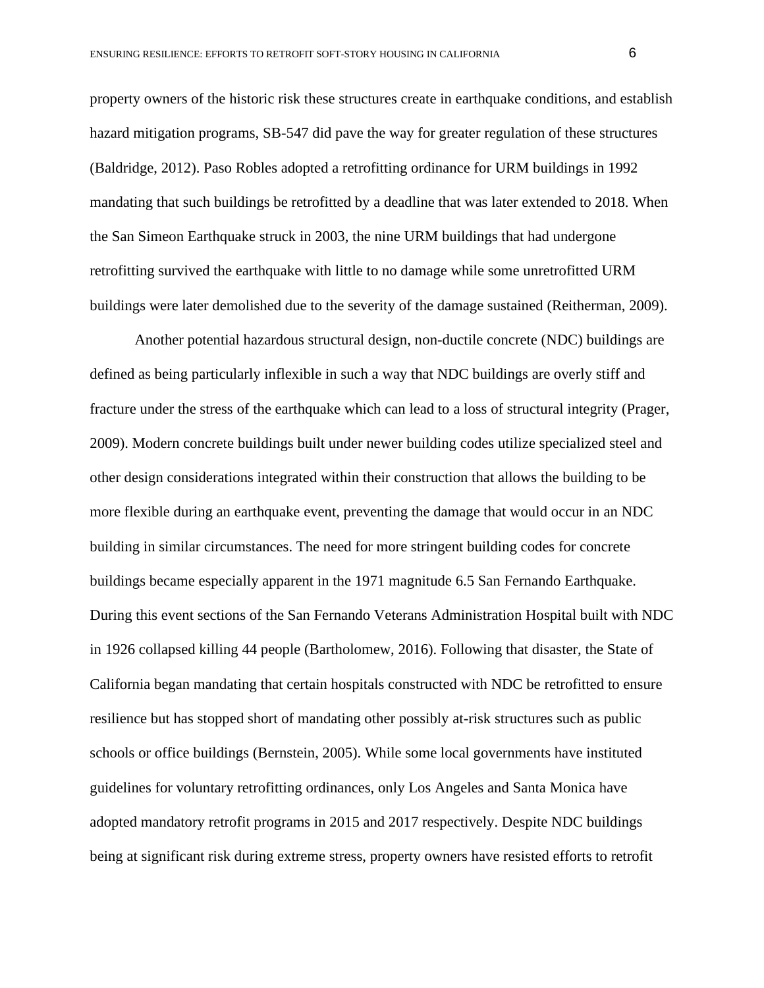property owners of the historic risk these structures create in earthquake conditions, and establish hazard mitigation programs, SB-547 did pave the way for greater regulation of these structures (Baldridge, 2012). Paso Robles adopted a retrofitting ordinance for URM buildings in 1992 mandating that such buildings be retrofitted by a deadline that was later extended to 2018. When the San Simeon Earthquake struck in 2003, the nine URM buildings that had undergone retrofitting survived the earthquake with little to no damage while some unretrofitted URM buildings were later demolished due to the severity of the damage sustained (Reitherman, 2009).

Another potential hazardous structural design, non-ductile concrete (NDC) buildings are defined as being particularly inflexible in such a way that NDC buildings are overly stiff and fracture under the stress of the earthquake which can lead to a loss of structural integrity (Prager, 2009). Modern concrete buildings built under newer building codes utilize specialized steel and other design considerations integrated within their construction that allows the building to be more flexible during an earthquake event, preventing the damage that would occur in an NDC building in similar circumstances. The need for more stringent building codes for concrete buildings became especially apparent in the 1971 magnitude 6.5 San Fernando Earthquake. During this event sections of the San Fernando Veterans Administration Hospital built with NDC in 1926 collapsed killing 44 people (Bartholomew, 2016). Following that disaster, the State of California began mandating that certain hospitals constructed with NDC be retrofitted to ensure resilience but has stopped short of mandating other possibly at-risk structures such as public schools or office buildings (Bernstein, 2005). While some local governments have instituted guidelines for voluntary retrofitting ordinances, only Los Angeles and Santa Monica have adopted mandatory retrofit programs in 2015 and 2017 respectively. Despite NDC buildings being at significant risk during extreme stress, property owners have resisted efforts to retrofit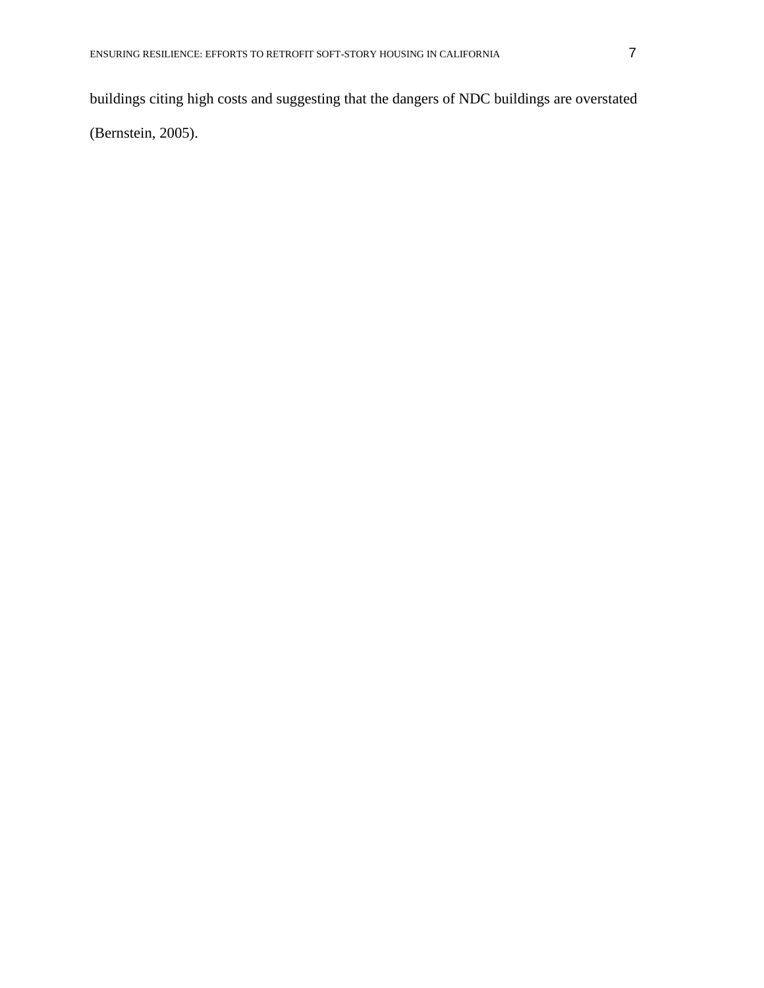buildings citing high costs and suggesting that the dangers of NDC buildings are overstated

(Bernstein, 2005).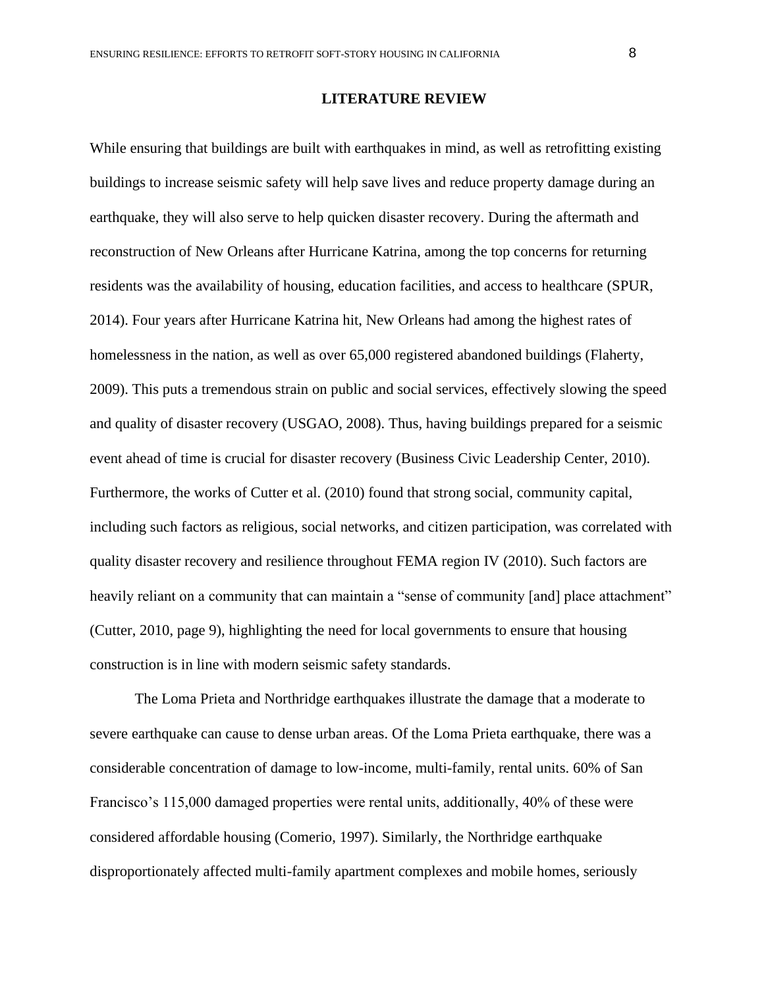# **LITERATURE REVIEW**

While ensuring that buildings are built with earthquakes in mind, as well as retrofitting existing buildings to increase seismic safety will help save lives and reduce property damage during an earthquake, they will also serve to help quicken disaster recovery. During the aftermath and reconstruction of New Orleans after Hurricane Katrina, among the top concerns for returning residents was the availability of housing, education facilities, and access to healthcare (SPUR, 2014). Four years after Hurricane Katrina hit, New Orleans had among the highest rates of homelessness in the nation, as well as over 65,000 registered abandoned buildings (Flaherty, 2009). This puts a tremendous strain on public and social services, effectively slowing the speed and quality of disaster recovery (USGAO, 2008). Thus, having buildings prepared for a seismic event ahead of time is crucial for disaster recovery (Business Civic Leadership Center, 2010). Furthermore, the works of Cutter et al. (2010) found that strong social, community capital, including such factors as religious, social networks, and citizen participation, was correlated with quality disaster recovery and resilience throughout FEMA region IV (2010). Such factors are heavily reliant on a community that can maintain a "sense of community [and] place attachment" (Cutter, 2010, page 9), highlighting the need for local governments to ensure that housing construction is in line with modern seismic safety standards.

The Loma Prieta and Northridge earthquakes illustrate the damage that a moderate to severe earthquake can cause to dense urban areas. Of the Loma Prieta earthquake, there was a considerable concentration of damage to low-income, multi-family, rental units. 60% of San Francisco's 115,000 damaged properties were rental units, additionally, 40% of these were considered affordable housing (Comerio, 1997). Similarly, the Northridge earthquake disproportionately affected multi-family apartment complexes and mobile homes, seriously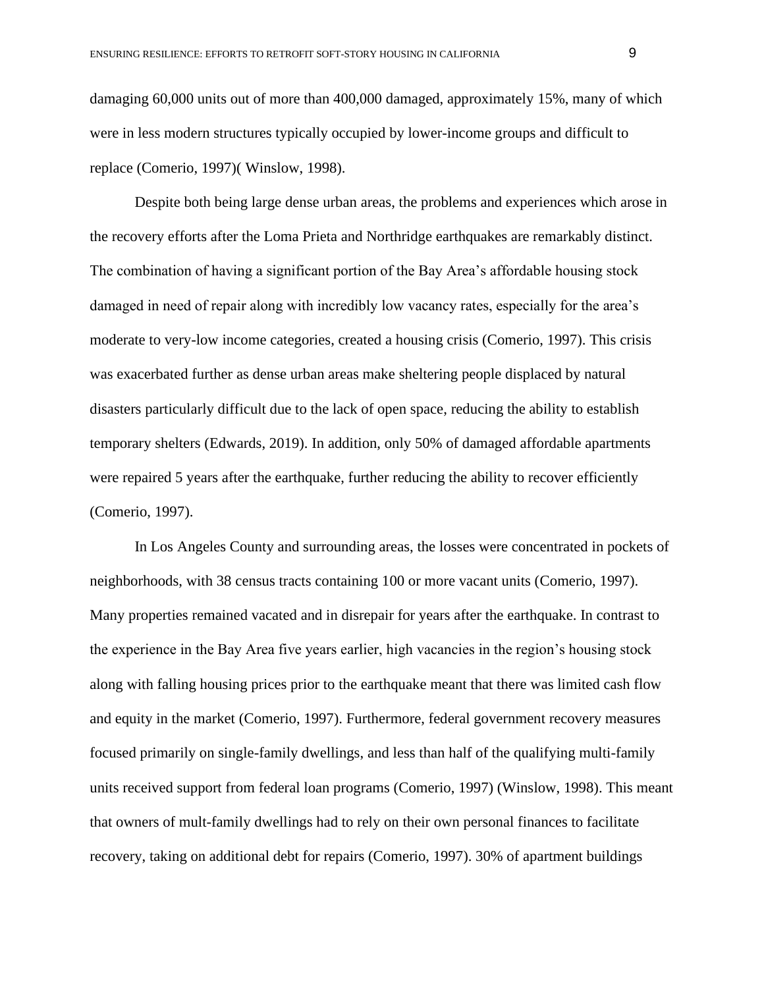damaging 60,000 units out of more than 400,000 damaged, approximately 15%, many of which were in less modern structures typically occupied by lower-income groups and difficult to replace (Comerio, 1997)( Winslow, 1998).

Despite both being large dense urban areas, the problems and experiences which arose in the recovery efforts after the Loma Prieta and Northridge earthquakes are remarkably distinct. The combination of having a significant portion of the Bay Area's affordable housing stock damaged in need of repair along with incredibly low vacancy rates, especially for the area's moderate to very-low income categories, created a housing crisis (Comerio, 1997). This crisis was exacerbated further as dense urban areas make sheltering people displaced by natural disasters particularly difficult due to the lack of open space, reducing the ability to establish temporary shelters (Edwards, 2019). In addition, only 50% of damaged affordable apartments were repaired 5 years after the earthquake, further reducing the ability to recover efficiently (Comerio, 1997).

In Los Angeles County and surrounding areas, the losses were concentrated in pockets of neighborhoods, with 38 census tracts containing 100 or more vacant units (Comerio, 1997). Many properties remained vacated and in disrepair for years after the earthquake. In contrast to the experience in the Bay Area five years earlier, high vacancies in the region's housing stock along with falling housing prices prior to the earthquake meant that there was limited cash flow and equity in the market (Comerio, 1997). Furthermore, federal government recovery measures focused primarily on single-family dwellings, and less than half of the qualifying multi-family units received support from federal loan programs (Comerio, 1997) (Winslow, 1998). This meant that owners of mult-family dwellings had to rely on their own personal finances to facilitate recovery, taking on additional debt for repairs (Comerio, 1997). 30% of apartment buildings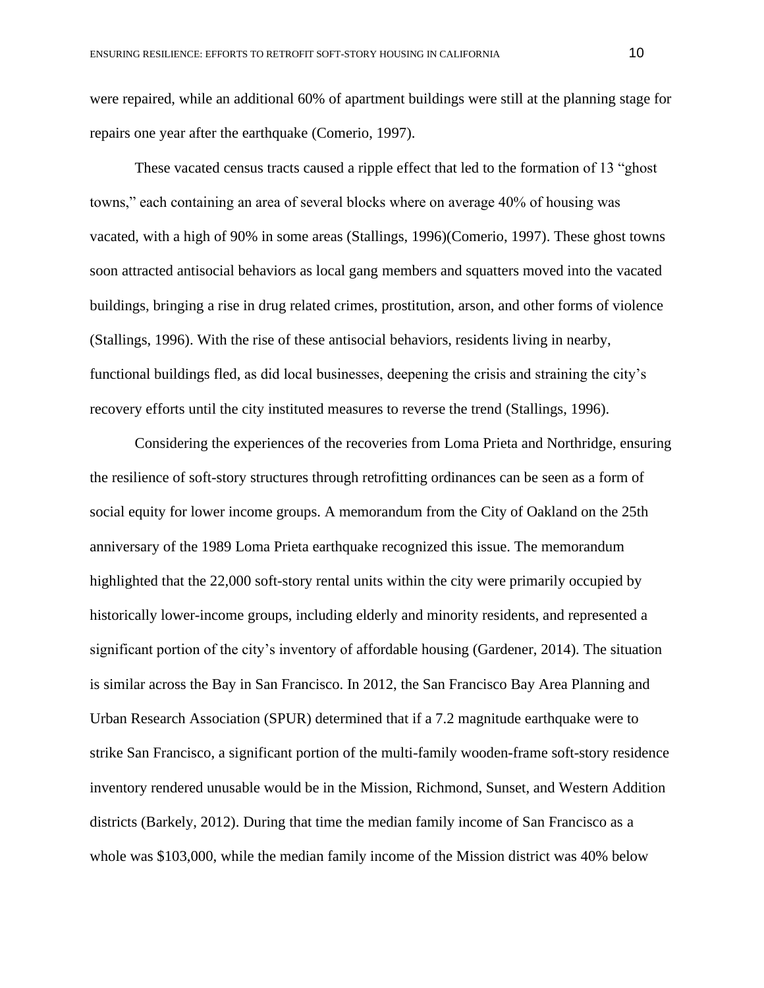were repaired, while an additional 60% of apartment buildings were still at the planning stage for repairs one year after the earthquake (Comerio, 1997).

These vacated census tracts caused a ripple effect that led to the formation of 13 "ghost towns," each containing an area of several blocks where on average 40% of housing was vacated, with a high of 90% in some areas (Stallings, 1996)(Comerio, 1997). These ghost towns soon attracted antisocial behaviors as local gang members and squatters moved into the vacated buildings, bringing a rise in drug related crimes, prostitution, arson, and other forms of violence (Stallings, 1996). With the rise of these antisocial behaviors, residents living in nearby, functional buildings fled, as did local businesses, deepening the crisis and straining the city's recovery efforts until the city instituted measures to reverse the trend (Stallings, 1996).

Considering the experiences of the recoveries from Loma Prieta and Northridge, ensuring the resilience of soft-story structures through retrofitting ordinances can be seen as a form of social equity for lower income groups. A memorandum from the City of Oakland on the 25th anniversary of the 1989 Loma Prieta earthquake recognized this issue. The memorandum highlighted that the 22,000 soft-story rental units within the city were primarily occupied by historically lower-income groups, including elderly and minority residents, and represented a significant portion of the city's inventory of affordable housing (Gardener, 2014)*.* The situation is similar across the Bay in San Francisco. In 2012, the San Francisco Bay Area Planning and Urban Research Association (SPUR) determined that if a 7.2 magnitude earthquake were to strike San Francisco, a significant portion of the multi-family wooden-frame soft-story residence inventory rendered unusable would be in the Mission, Richmond, Sunset, and Western Addition districts (Barkely, 2012). During that time the median family income of San Francisco as a whole was \$103,000, while the median family income of the Mission district was 40% below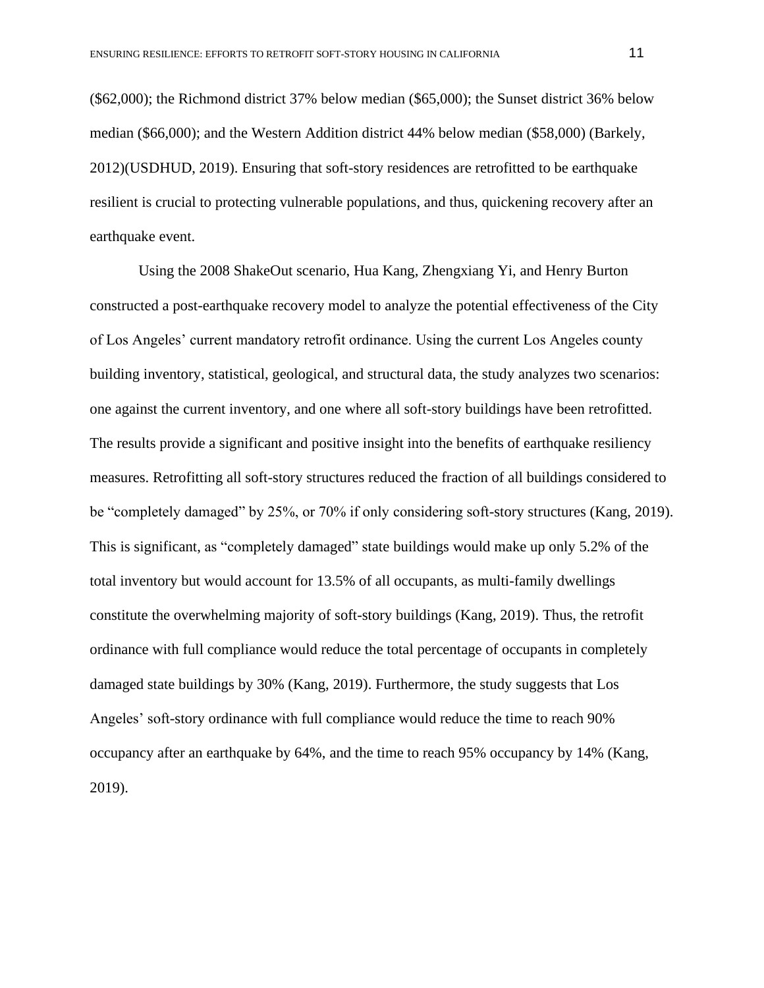(\$62,000); the Richmond district 37% below median (\$65,000); the Sunset district 36% below median (\$66,000); and the Western Addition district 44% below median (\$58,000) (Barkely, 2012)(USDHUD, 2019). Ensuring that soft-story residences are retrofitted to be earthquake resilient is crucial to protecting vulnerable populations, and thus, quickening recovery after an earthquake event.

Using the 2008 ShakeOut scenario, Hua Kang, Zhengxiang Yi, and Henry Burton constructed a post-earthquake recovery model to analyze the potential effectiveness of the City of Los Angeles' current mandatory retrofit ordinance. Using the current Los Angeles county building inventory, statistical, geological, and structural data, the study analyzes two scenarios: one against the current inventory, and one where all soft-story buildings have been retrofitted. The results provide a significant and positive insight into the benefits of earthquake resiliency measures. Retrofitting all soft-story structures reduced the fraction of all buildings considered to be "completely damaged" by 25%, or 70% if only considering soft-story structures (Kang, 2019). This is significant, as "completely damaged" state buildings would make up only 5.2% of the total inventory but would account for 13.5% of all occupants, as multi-family dwellings constitute the overwhelming majority of soft-story buildings (Kang, 2019). Thus, the retrofit ordinance with full compliance would reduce the total percentage of occupants in completely damaged state buildings by 30% (Kang, 2019). Furthermore, the study suggests that Los Angeles' soft-story ordinance with full compliance would reduce the time to reach 90% occupancy after an earthquake by 64%, and the time to reach 95% occupancy by 14% (Kang, 2019).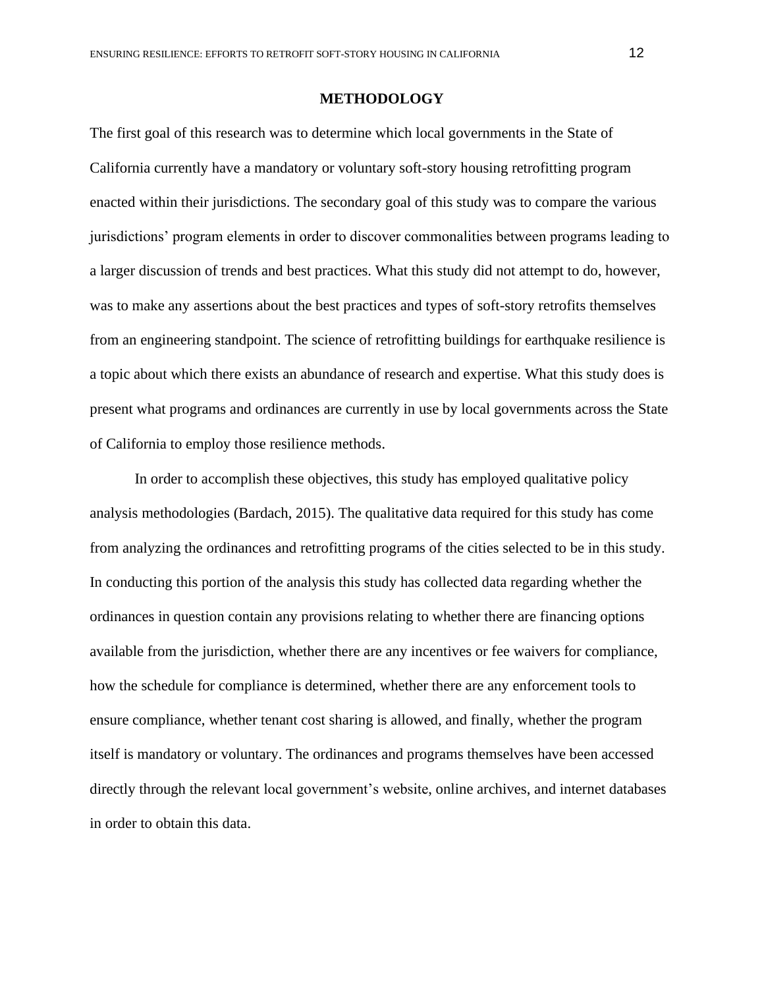## **METHODOLOGY**

The first goal of this research was to determine which local governments in the State of California currently have a mandatory or voluntary soft-story housing retrofitting program enacted within their jurisdictions. The secondary goal of this study was to compare the various jurisdictions' program elements in order to discover commonalities between programs leading to a larger discussion of trends and best practices. What this study did not attempt to do, however, was to make any assertions about the best practices and types of soft-story retrofits themselves from an engineering standpoint. The science of retrofitting buildings for earthquake resilience is a topic about which there exists an abundance of research and expertise. What this study does is present what programs and ordinances are currently in use by local governments across the State of California to employ those resilience methods.

In order to accomplish these objectives, this study has employed qualitative policy analysis methodologies (Bardach, 2015). The qualitative data required for this study has come from analyzing the ordinances and retrofitting programs of the cities selected to be in this study. In conducting this portion of the analysis this study has collected data regarding whether the ordinances in question contain any provisions relating to whether there are financing options available from the jurisdiction, whether there are any incentives or fee waivers for compliance, how the schedule for compliance is determined, whether there are any enforcement tools to ensure compliance, whether tenant cost sharing is allowed, and finally, whether the program itself is mandatory or voluntary. The ordinances and programs themselves have been accessed directly through the relevant local government's website, online archives, and internet databases in order to obtain this data.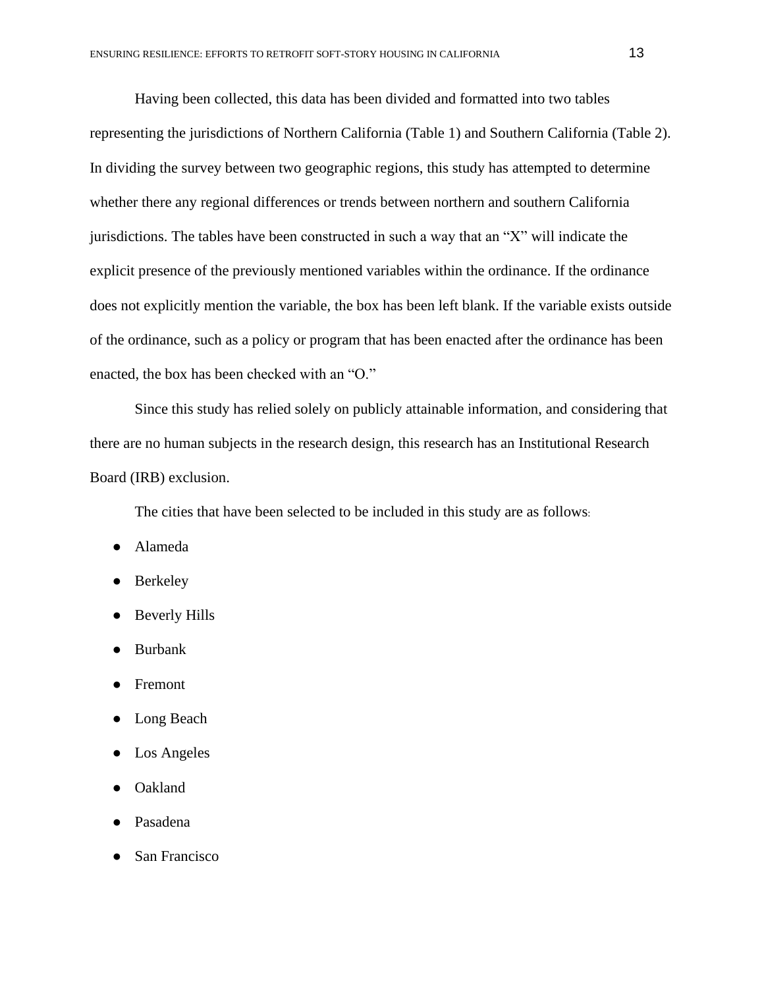Having been collected, this data has been divided and formatted into two tables representing the jurisdictions of Northern California (Table 1) and Southern California (Table 2). In dividing the survey between two geographic regions, this study has attempted to determine whether there any regional differences or trends between northern and southern California jurisdictions. The tables have been constructed in such a way that an "X" will indicate the explicit presence of the previously mentioned variables within the ordinance. If the ordinance does not explicitly mention the variable, the box has been left blank. If the variable exists outside of the ordinance, such as a policy or program that has been enacted after the ordinance has been enacted, the box has been checked with an "O."

Since this study has relied solely on publicly attainable information, and considering that there are no human subjects in the research design, this research has an Institutional Research Board (IRB) exclusion.

The cities that have been selected to be included in this study are as follows:

- Alameda
- Berkeley
- Beverly Hills
- **Burbank**
- **Fremont**
- Long Beach
- Los Angeles
- Oakland
- Pasadena
- San Francisco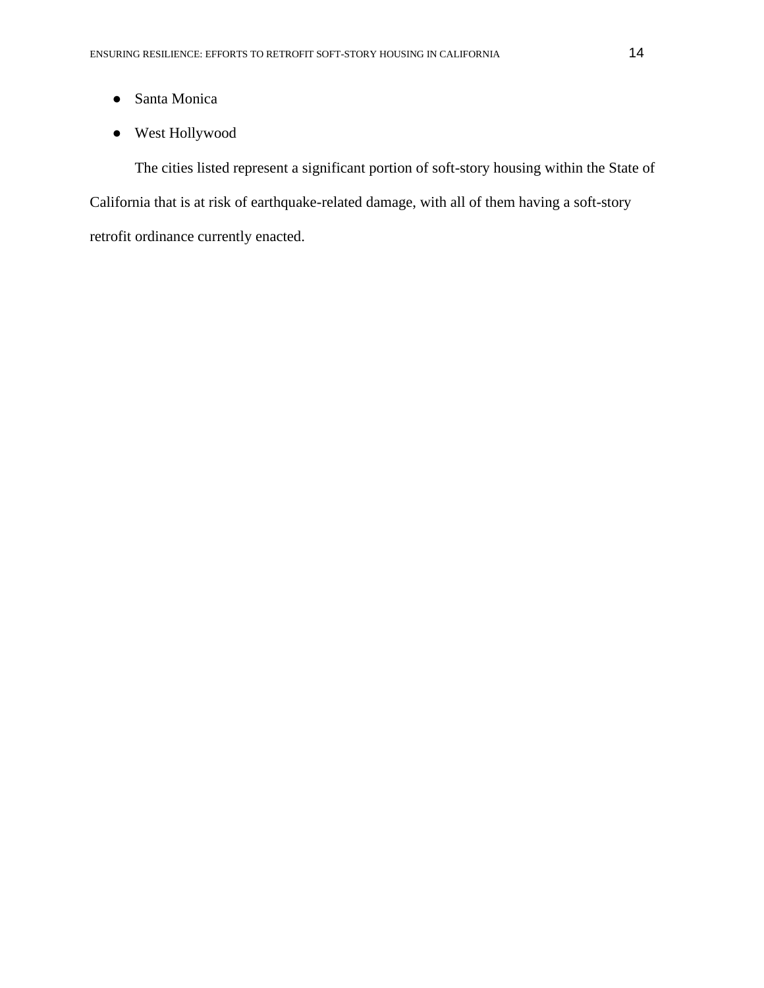- Santa Monica
- West Hollywood

 The cities listed represent a significant portion of soft-story housing within the State of California that is at risk of earthquake-related damage, with all of them having a soft-story retrofit ordinance currently enacted.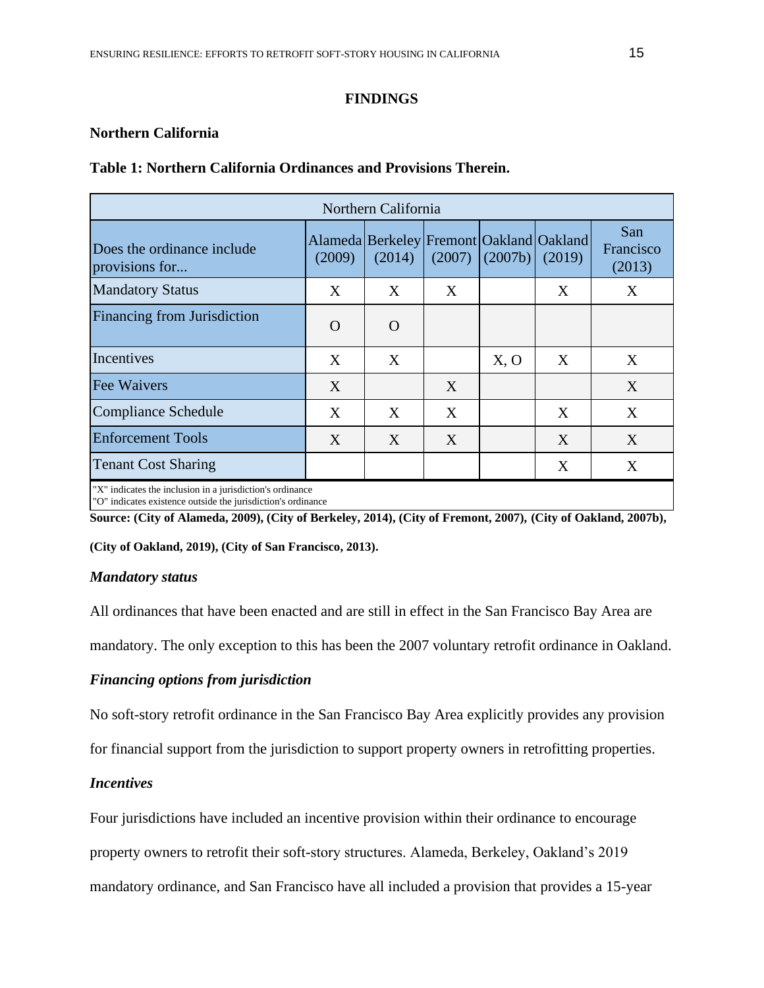## **FINDINGS**

## **Northern California**

| Northern California                                                                                                       |          |                                                              |        |         |        |                            |  |  |  |  |
|---------------------------------------------------------------------------------------------------------------------------|----------|--------------------------------------------------------------|--------|---------|--------|----------------------------|--|--|--|--|
| Does the ordinance include<br>provisions for                                                                              | (2009)   | Alameda   Berkeley   Fremont   Oakland   Oakland  <br>(2014) | (2007) | (2007b) | (2019) | San<br>Francisco<br>(2013) |  |  |  |  |
| <b>Mandatory Status</b>                                                                                                   | X        | X                                                            | X      |         | X      | X                          |  |  |  |  |
| Financing from Jurisdiction                                                                                               | $\Omega$ | $\Omega$                                                     |        |         |        |                            |  |  |  |  |
| Incentives                                                                                                                | X        | X                                                            |        | X, O    | X      | X                          |  |  |  |  |
| Fee Waivers                                                                                                               | X        |                                                              | X      |         |        | X                          |  |  |  |  |
| <b>Compliance Schedule</b>                                                                                                | X        | X                                                            | X      |         | X      | X                          |  |  |  |  |
| <b>Enforcement Tools</b>                                                                                                  | X        | X                                                            | X      |         | X      | X                          |  |  |  |  |
| <b>Tenant Cost Sharing</b>                                                                                                |          |                                                              |        |         | X      | X                          |  |  |  |  |
| "X" indicates the inclusion in a jurisdiction's ordinance<br>"O" indicates existence outside the jurisdiction's ordinance |          |                                                              |        |         |        |                            |  |  |  |  |

## **Table 1: Northern California Ordinances and Provisions Therein.**

**Source: (City of Alameda, 2009), (City of Berkeley, 2014), (City of Fremont, 2007), (City of Oakland, 2007b),** 

**(City of Oakland, 2019), (City of San Francisco, 2013).**

## *Mandatory status*

All ordinances that have been enacted and are still in effect in the San Francisco Bay Area are

mandatory. The only exception to this has been the 2007 voluntary retrofit ordinance in Oakland.

# *Financing options from jurisdiction*

No soft-story retrofit ordinance in the San Francisco Bay Area explicitly provides any provision

for financial support from the jurisdiction to support property owners in retrofitting properties.

# *Incentives*

Four jurisdictions have included an incentive provision within their ordinance to encourage

property owners to retrofit their soft-story structures. Alameda, Berkeley, Oakland's 2019

mandatory ordinance, and San Francisco have all included a provision that provides a 15-year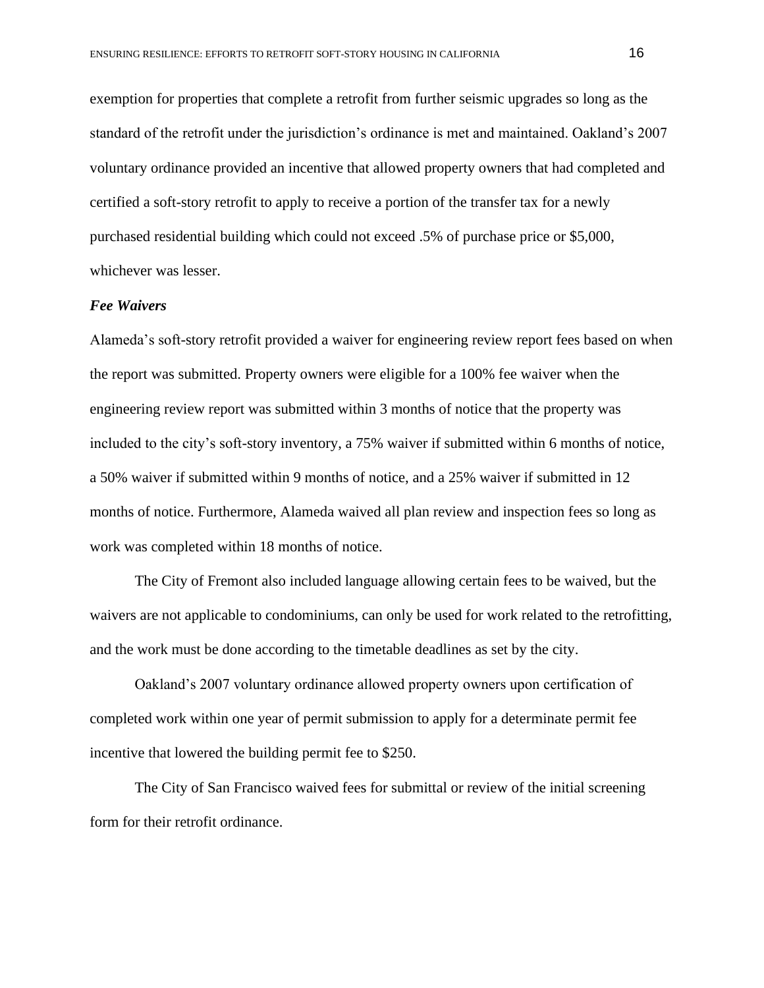exemption for properties that complete a retrofit from further seismic upgrades so long as the standard of the retrofit under the jurisdiction's ordinance is met and maintained. Oakland's 2007 voluntary ordinance provided an incentive that allowed property owners that had completed and certified a soft-story retrofit to apply to receive a portion of the transfer tax for a newly purchased residential building which could not exceed .5% of purchase price or \$5,000, whichever was lesser.

#### *Fee Waivers*

Alameda's soft-story retrofit provided a waiver for engineering review report fees based on when the report was submitted. Property owners were eligible for a 100% fee waiver when the engineering review report was submitted within 3 months of notice that the property was included to the city's soft-story inventory, a 75% waiver if submitted within 6 months of notice, a 50% waiver if submitted within 9 months of notice, and a 25% waiver if submitted in 12 months of notice. Furthermore, Alameda waived all plan review and inspection fees so long as work was completed within 18 months of notice.

The City of Fremont also included language allowing certain fees to be waived, but the waivers are not applicable to condominiums, can only be used for work related to the retrofitting, and the work must be done according to the timetable deadlines as set by the city.

Oakland's 2007 voluntary ordinance allowed property owners upon certification of completed work within one year of permit submission to apply for a determinate permit fee incentive that lowered the building permit fee to \$250.

The City of San Francisco waived fees for submittal or review of the initial screening form for their retrofit ordinance.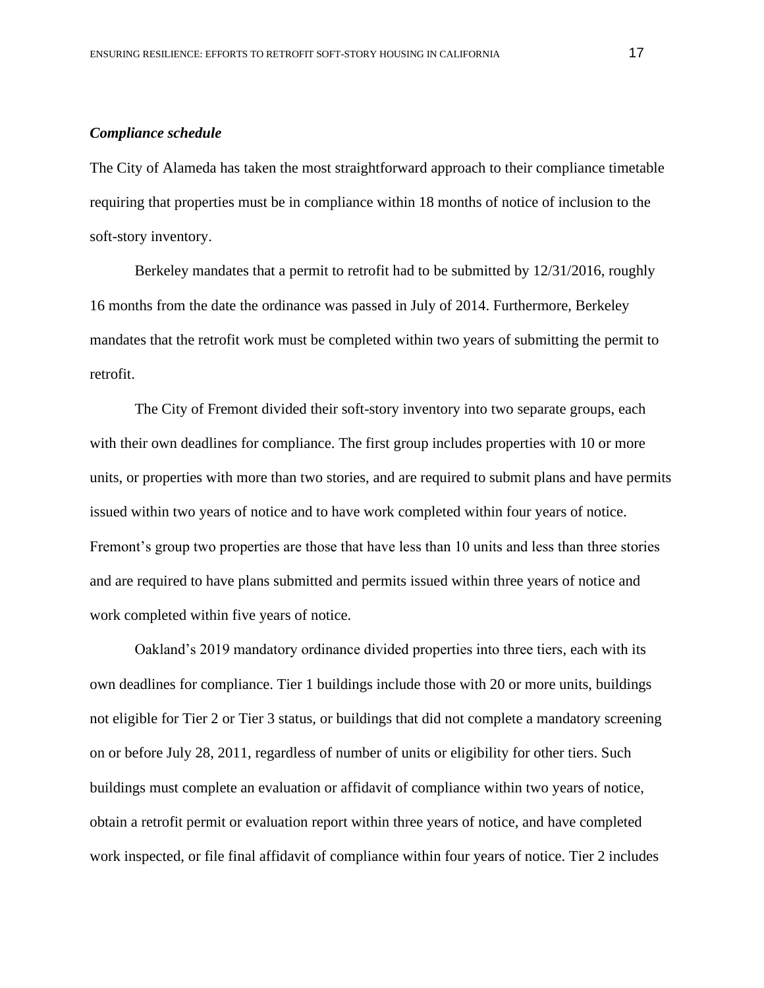### *Compliance schedule*

The City of Alameda has taken the most straightforward approach to their compliance timetable requiring that properties must be in compliance within 18 months of notice of inclusion to the soft-story inventory.

Berkeley mandates that a permit to retrofit had to be submitted by 12/31/2016, roughly 16 months from the date the ordinance was passed in July of 2014. Furthermore, Berkeley mandates that the retrofit work must be completed within two years of submitting the permit to retrofit.

The City of Fremont divided their soft-story inventory into two separate groups, each with their own deadlines for compliance. The first group includes properties with 10 or more units, or properties with more than two stories, and are required to submit plans and have permits issued within two years of notice and to have work completed within four years of notice. Fremont's group two properties are those that have less than 10 units and less than three stories and are required to have plans submitted and permits issued within three years of notice and work completed within five years of notice.

Oakland's 2019 mandatory ordinance divided properties into three tiers, each with its own deadlines for compliance. Tier 1 buildings include those with 20 or more units, buildings not eligible for Tier 2 or Tier 3 status, or buildings that did not complete a mandatory screening on or before July 28, 2011, regardless of number of units or eligibility for other tiers. Such buildings must complete an evaluation or affidavit of compliance within two years of notice, obtain a retrofit permit or evaluation report within three years of notice, and have completed work inspected, or file final affidavit of compliance within four years of notice. Tier 2 includes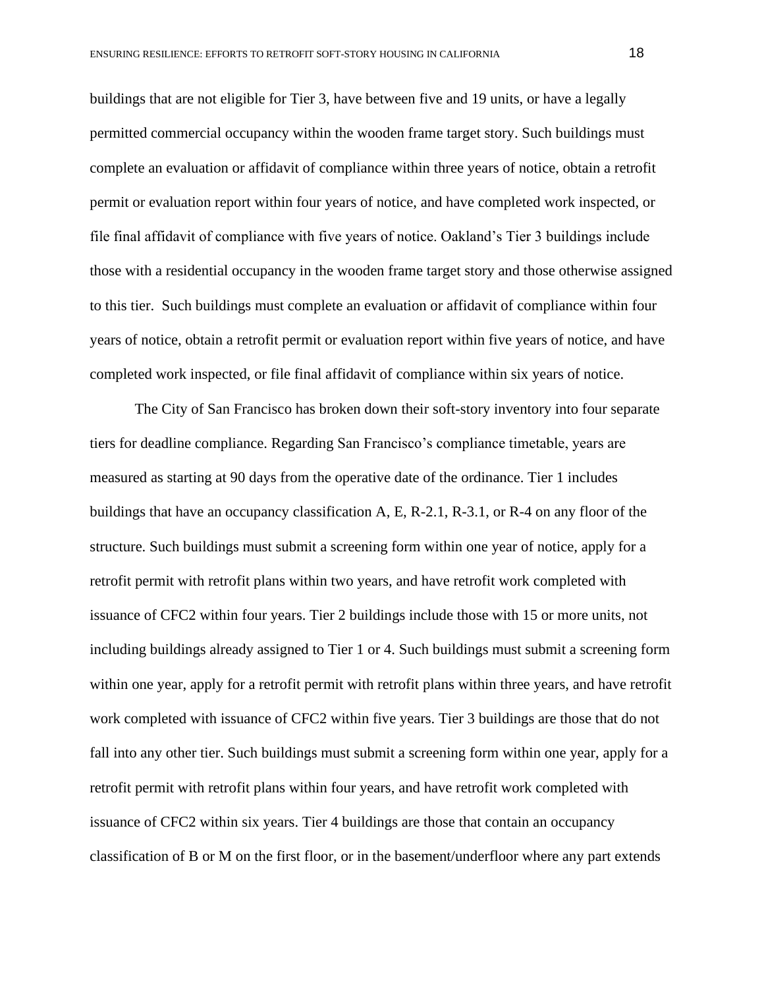buildings that are not eligible for Tier 3, have between five and 19 units, or have a legally permitted commercial occupancy within the wooden frame target story. Such buildings must complete an evaluation or affidavit of compliance within three years of notice, obtain a retrofit permit or evaluation report within four years of notice, and have completed work inspected, or file final affidavit of compliance with five years of notice. Oakland's Tier 3 buildings include those with a residential occupancy in the wooden frame target story and those otherwise assigned to this tier. Such buildings must complete an evaluation or affidavit of compliance within four years of notice, obtain a retrofit permit or evaluation report within five years of notice, and have completed work inspected, or file final affidavit of compliance within six years of notice.

The City of San Francisco has broken down their soft-story inventory into four separate tiers for deadline compliance. Regarding San Francisco's compliance timetable, years are measured as starting at 90 days from the operative date of the ordinance. Tier 1 includes buildings that have an occupancy classification A, E, R-2.1, R-3.1, or R-4 on any floor of the structure. Such buildings must submit a screening form within one year of notice, apply for a retrofit permit with retrofit plans within two years, and have retrofit work completed with issuance of CFC2 within four years. Tier 2 buildings include those with 15 or more units, not including buildings already assigned to Tier 1 or 4. Such buildings must submit a screening form within one year, apply for a retrofit permit with retrofit plans within three years, and have retrofit work completed with issuance of CFC2 within five years. Tier 3 buildings are those that do not fall into any other tier. Such buildings must submit a screening form within one year, apply for a retrofit permit with retrofit plans within four years, and have retrofit work completed with issuance of CFC2 within six years. Tier 4 buildings are those that contain an occupancy classification of B or M on the first floor, or in the basement/underfloor where any part extends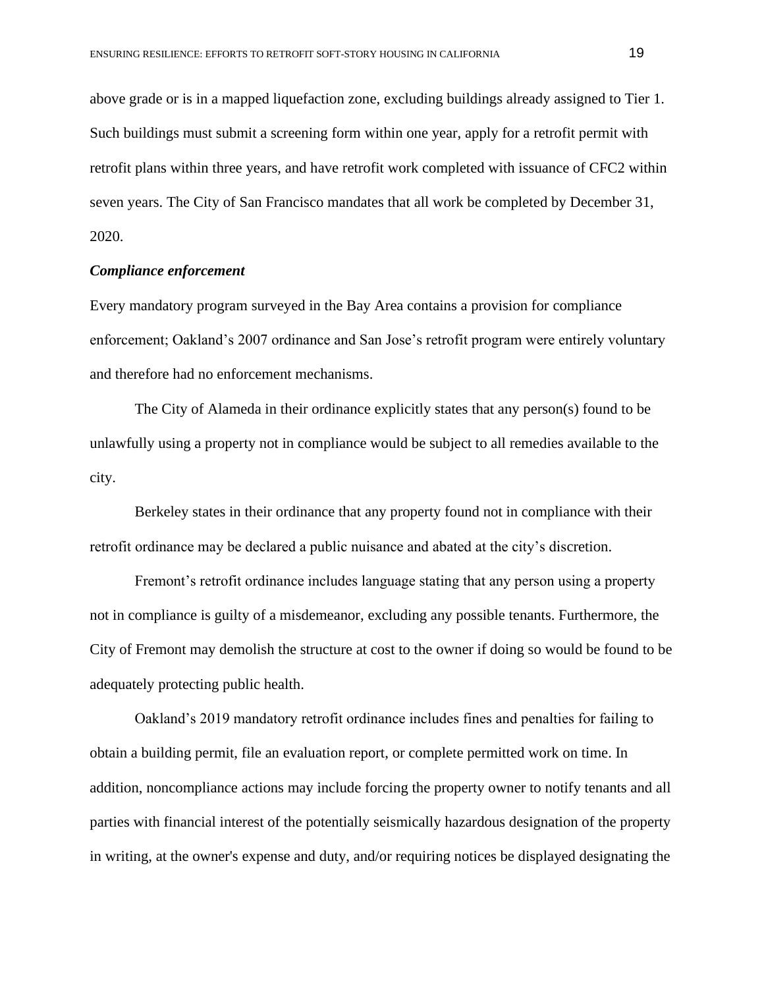above grade or is in a mapped liquefaction zone, excluding buildings already assigned to Tier 1. Such buildings must submit a screening form within one year, apply for a retrofit permit with retrofit plans within three years, and have retrofit work completed with issuance of CFC2 within seven years. The City of San Francisco mandates that all work be completed by December 31, 2020.

## *Compliance enforcement*

Every mandatory program surveyed in the Bay Area contains a provision for compliance enforcement; Oakland's 2007 ordinance and San Jose's retrofit program were entirely voluntary and therefore had no enforcement mechanisms.

The City of Alameda in their ordinance explicitly states that any person(s) found to be unlawfully using a property not in compliance would be subject to all remedies available to the city.

Berkeley states in their ordinance that any property found not in compliance with their retrofit ordinance may be declared a public nuisance and abated at the city's discretion.

Fremont's retrofit ordinance includes language stating that any person using a property not in compliance is guilty of a misdemeanor, excluding any possible tenants. Furthermore, the City of Fremont may demolish the structure at cost to the owner if doing so would be found to be adequately protecting public health.

Oakland's 2019 mandatory retrofit ordinance includes fines and penalties for failing to obtain a building permit, file an evaluation report, or complete permitted work on time. In addition, noncompliance actions may include forcing the property owner to notify tenants and all parties with financial interest of the potentially seismically hazardous designation of the property in writing, at the owner's expense and duty, and/or requiring notices be displayed designating the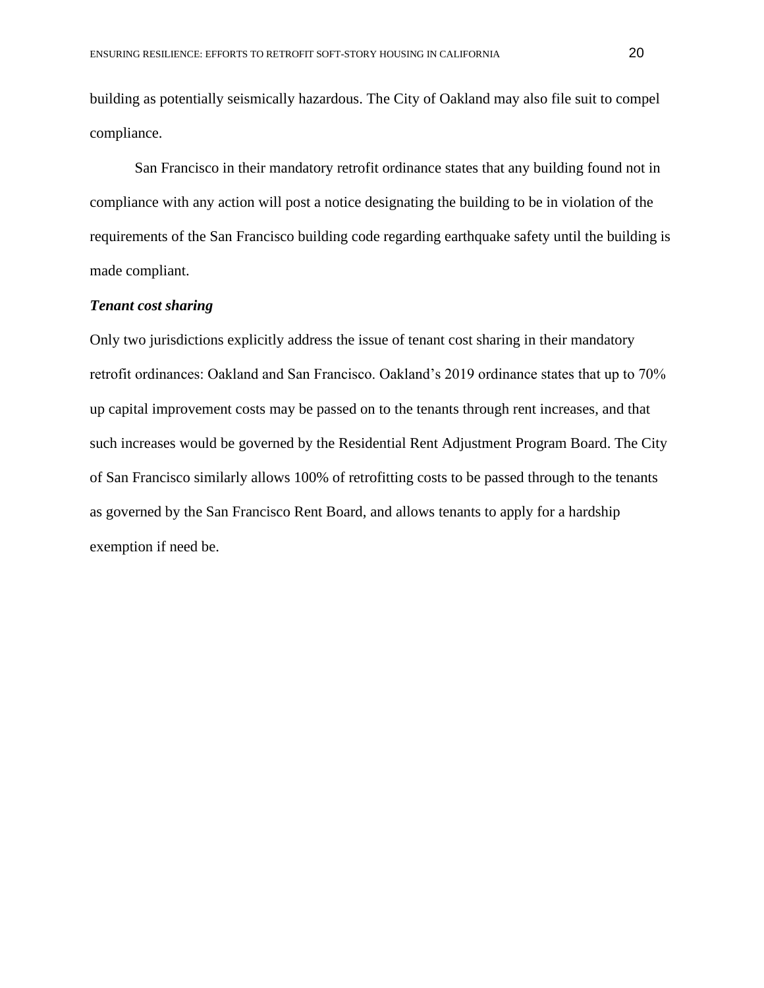building as potentially seismically hazardous. The City of Oakland may also file suit to compel compliance.

San Francisco in their mandatory retrofit ordinance states that any building found not in compliance with any action will post a notice designating the building to be in violation of the requirements of the San Francisco building code regarding earthquake safety until the building is made compliant.

## *Tenant cost sharing*

Only two jurisdictions explicitly address the issue of tenant cost sharing in their mandatory retrofit ordinances: Oakland and San Francisco. Oakland's 2019 ordinance states that up to 70% up capital improvement costs may be passed on to the tenants through rent increases, and that such increases would be governed by the Residential Rent Adjustment Program Board. The City of San Francisco similarly allows 100% of retrofitting costs to be passed through to the tenants as governed by the San Francisco Rent Board, and allows tenants to apply for a hardship exemption if need be.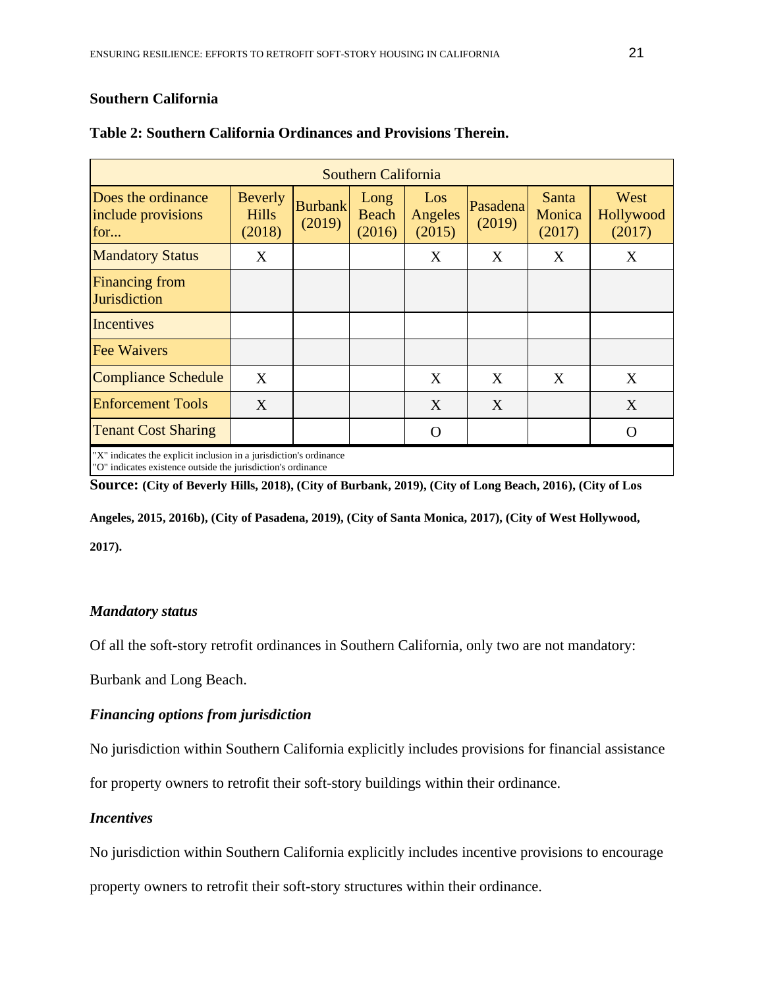# **Southern California**

| Southern California                                                                                                                                                                                                                                                                                         |                                          |                          |                         |                          |                    |                           |                             |  |  |  |
|-------------------------------------------------------------------------------------------------------------------------------------------------------------------------------------------------------------------------------------------------------------------------------------------------------------|------------------------------------------|--------------------------|-------------------------|--------------------------|--------------------|---------------------------|-----------------------------|--|--|--|
| Does the ordinance<br>include provisions<br>for                                                                                                                                                                                                                                                             | <b>Beverly</b><br><b>Hills</b><br>(2018) | <b>Burbank</b><br>(2019) | Long<br>Beach<br>(2016) | Los<br>Angeles<br>(2015) | Pasadena<br>(2019) | Santa<br>Monica<br>(2017) | West<br>Hollywood<br>(2017) |  |  |  |
| <b>Mandatory Status</b>                                                                                                                                                                                                                                                                                     | X                                        |                          |                         | X                        | X                  | X                         | X                           |  |  |  |
| <b>Financing from</b><br>Jurisdiction                                                                                                                                                                                                                                                                       |                                          |                          |                         |                          |                    |                           |                             |  |  |  |
| Incentives                                                                                                                                                                                                                                                                                                  |                                          |                          |                         |                          |                    |                           |                             |  |  |  |
| <b>Fee Waivers</b>                                                                                                                                                                                                                                                                                          |                                          |                          |                         |                          |                    |                           |                             |  |  |  |
| Compliance Schedule                                                                                                                                                                                                                                                                                         | X                                        |                          |                         | X                        | X                  | X                         | X                           |  |  |  |
| <b>Enforcement Tools</b>                                                                                                                                                                                                                                                                                    | X                                        |                          |                         | X                        | X                  |                           | X                           |  |  |  |
| <b>Tenant Cost Sharing</b>                                                                                                                                                                                                                                                                                  |                                          |                          |                         | $\Omega$                 |                    |                           | ∩                           |  |  |  |
| "X" indicates the explicit inclusion in a jurisdiction's ordinance<br>$\mathbf{u}$ and $\mathbf{v}$ are a set of the set of the set of the set of the set of the set of the set of the set of the set of the set of the set of the set of the set of the set of the set of the set of the set of the set of |                                          |                          |                         |                          |                    |                           |                             |  |  |  |

# **Table 2: Southern California Ordinances and Provisions Therein.**

"O" indicates existence outside the jurisdiction's ordinance

**Source: (City of Beverly Hills, 2018), (City of Burbank, 2019), (City of Long Beach, 2016), (City of Los** 

**Angeles, 2015, 2016b), (City of Pasadena, 2019), (City of Santa Monica, 2017), (City of West Hollywood,** 

**2017).**

# *Mandatory status*

Of all the soft-story retrofit ordinances in Southern California, only two are not mandatory:

Burbank and Long Beach.

# *Financing options from jurisdiction*

No jurisdiction within Southern California explicitly includes provisions for financial assistance

for property owners to retrofit their soft-story buildings within their ordinance.

# *Incentives*

No jurisdiction within Southern California explicitly includes incentive provisions to encourage

property owners to retrofit their soft-story structures within their ordinance.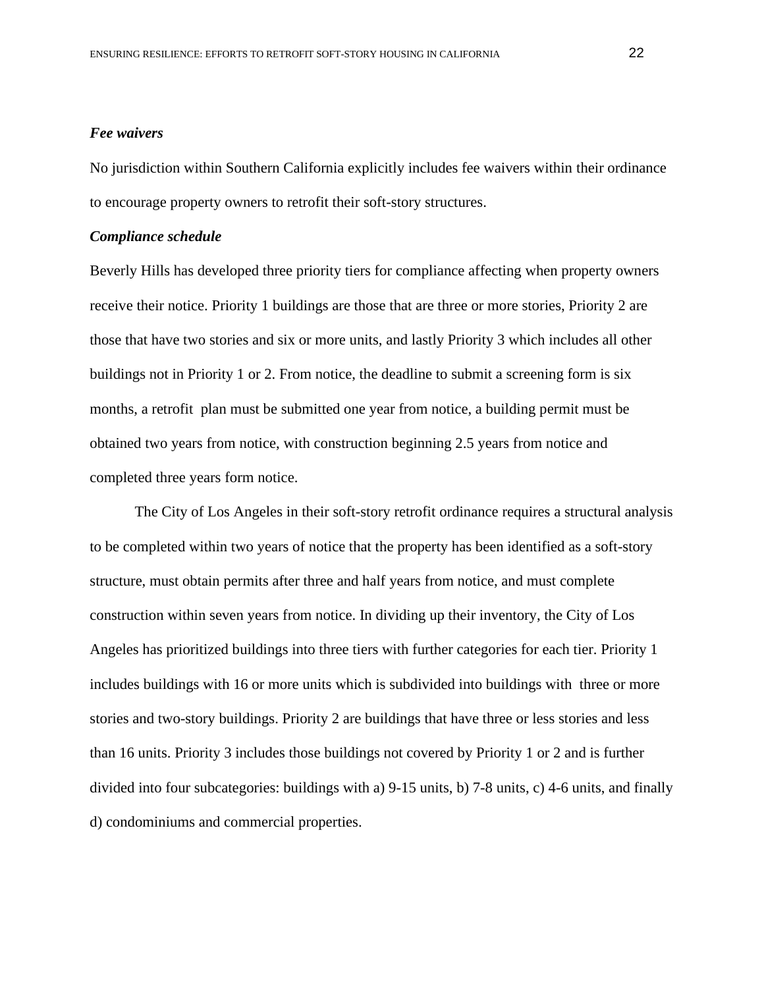#### *Fee waivers*

No jurisdiction within Southern California explicitly includes fee waivers within their ordinance to encourage property owners to retrofit their soft-story structures.

#### *Compliance schedule*

Beverly Hills has developed three priority tiers for compliance affecting when property owners receive their notice. Priority 1 buildings are those that are three or more stories, Priority 2 are those that have two stories and six or more units, and lastly Priority 3 which includes all other buildings not in Priority 1 or 2. From notice, the deadline to submit a screening form is six months, a retrofit plan must be submitted one year from notice, a building permit must be obtained two years from notice, with construction beginning 2.5 years from notice and completed three years form notice.

The City of Los Angeles in their soft-story retrofit ordinance requires a structural analysis to be completed within two years of notice that the property has been identified as a soft-story structure, must obtain permits after three and half years from notice, and must complete construction within seven years from notice. In dividing up their inventory, the City of Los Angeles has prioritized buildings into three tiers with further categories for each tier. Priority 1 includes buildings with 16 or more units which is subdivided into buildings with three or more stories and two-story buildings. Priority 2 are buildings that have three or less stories and less than 16 units. Priority 3 includes those buildings not covered by Priority 1 or 2 and is further divided into four subcategories: buildings with a) 9-15 units, b) 7-8 units, c) 4-6 units, and finally d) condominiums and commercial properties.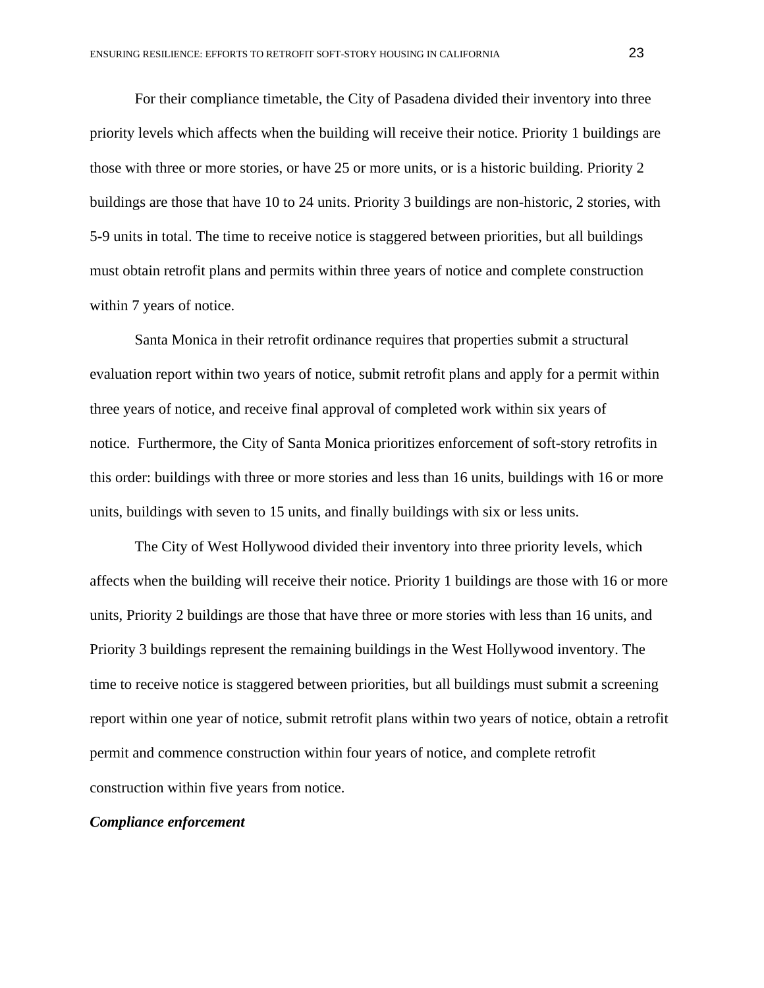For their compliance timetable, the City of Pasadena divided their inventory into three priority levels which affects when the building will receive their notice. Priority 1 buildings are those with three or more stories, or have 25 or more units, or is a historic building. Priority 2 buildings are those that have 10 to 24 units. Priority 3 buildings are non-historic, 2 stories, with 5-9 units in total. The time to receive notice is staggered between priorities, but all buildings must obtain retrofit plans and permits within three years of notice and complete construction within 7 years of notice.

Santa Monica in their retrofit ordinance requires that properties submit a structural evaluation report within two years of notice, submit retrofit plans and apply for a permit within three years of notice, and receive final approval of completed work within six years of notice. Furthermore, the City of Santa Monica prioritizes enforcement of soft-story retrofits in this order: buildings with three or more stories and less than 16 units, buildings with 16 or more units, buildings with seven to 15 units, and finally buildings with six or less units.

The City of West Hollywood divided their inventory into three priority levels, which affects when the building will receive their notice. Priority 1 buildings are those with 16 or more units, Priority 2 buildings are those that have three or more stories with less than 16 units, and Priority 3 buildings represent the remaining buildings in the West Hollywood inventory. The time to receive notice is staggered between priorities, but all buildings must submit a screening report within one year of notice, submit retrofit plans within two years of notice, obtain a retrofit permit and commence construction within four years of notice, and complete retrofit construction within five years from notice.

## *Compliance enforcement*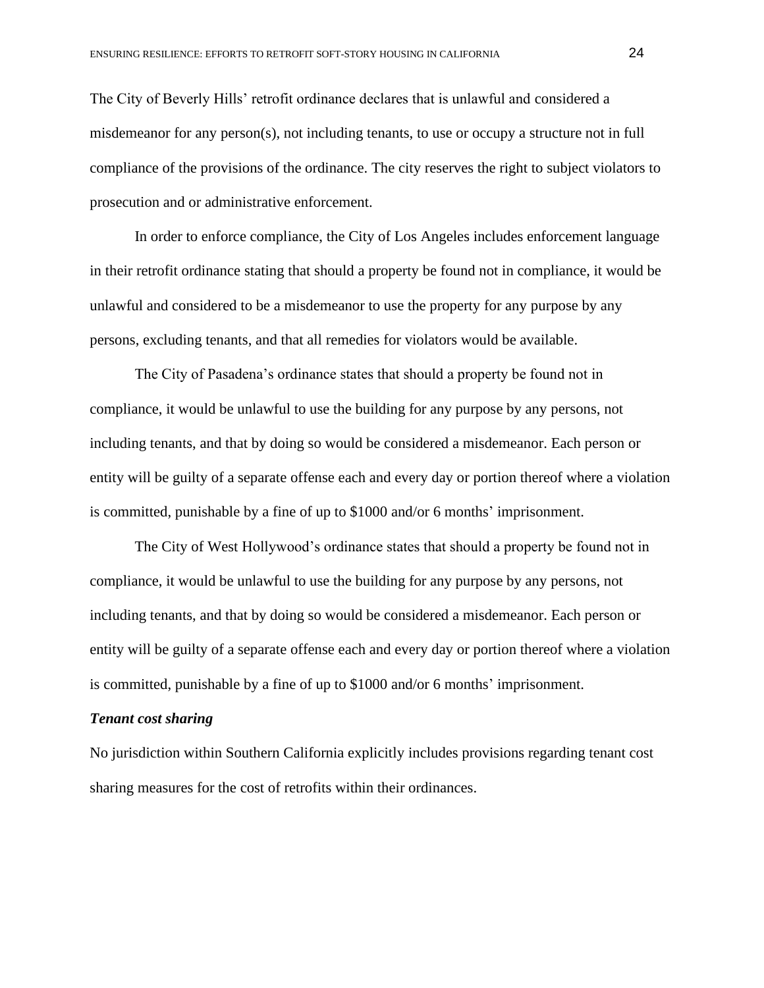The City of Beverly Hills' retrofit ordinance declares that is unlawful and considered a misdemeanor for any person(s), not including tenants, to use or occupy a structure not in full compliance of the provisions of the ordinance. The city reserves the right to subject violators to prosecution and or administrative enforcement.

In order to enforce compliance, the City of Los Angeles includes enforcement language in their retrofit ordinance stating that should a property be found not in compliance, it would be unlawful and considered to be a misdemeanor to use the property for any purpose by any persons, excluding tenants, and that all remedies for violators would be available.

The City of Pasadena's ordinance states that should a property be found not in compliance, it would be unlawful to use the building for any purpose by any persons, not including tenants, and that by doing so would be considered a misdemeanor. Each person or entity will be guilty of a separate offense each and every day or portion thereof where a violation is committed, punishable by a fine of up to \$1000 and/or 6 months' imprisonment.

The City of West Hollywood's ordinance states that should a property be found not in compliance, it would be unlawful to use the building for any purpose by any persons, not including tenants, and that by doing so would be considered a misdemeanor. Each person or entity will be guilty of a separate offense each and every day or portion thereof where a violation is committed, punishable by a fine of up to \$1000 and/or 6 months' imprisonment.

#### *Tenant cost sharing*

No jurisdiction within Southern California explicitly includes provisions regarding tenant cost sharing measures for the cost of retrofits within their ordinances.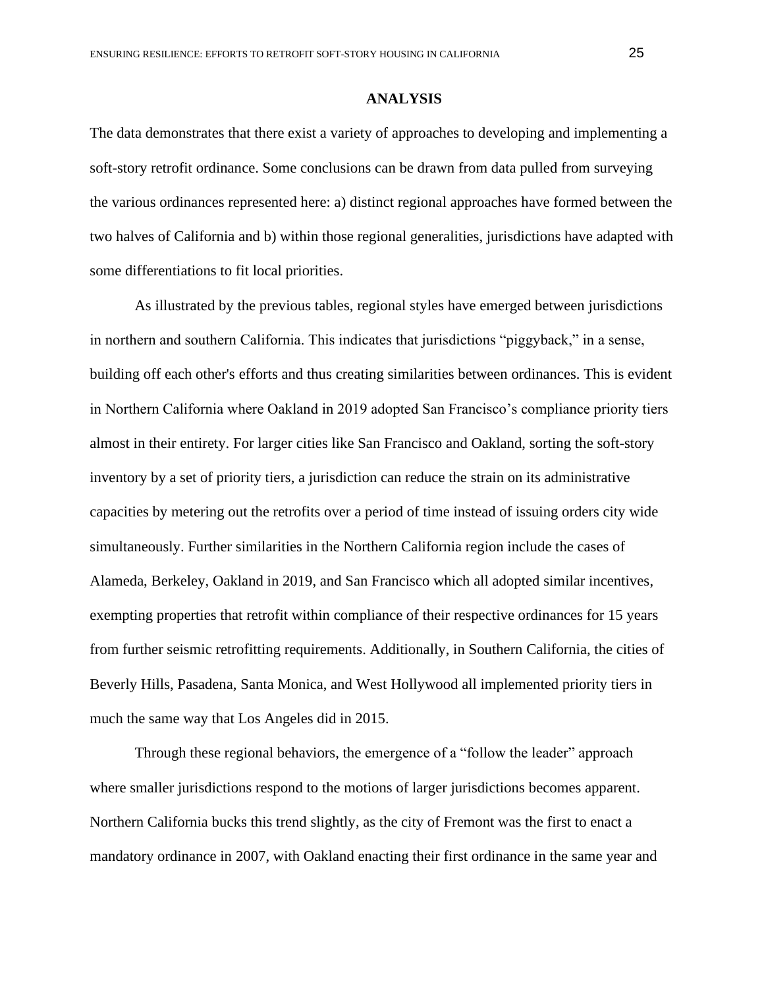#### **ANALYSIS**

The data demonstrates that there exist a variety of approaches to developing and implementing a soft-story retrofit ordinance. Some conclusions can be drawn from data pulled from surveying the various ordinances represented here: a) distinct regional approaches have formed between the two halves of California and b) within those regional generalities, jurisdictions have adapted with some differentiations to fit local priorities.

As illustrated by the previous tables, regional styles have emerged between jurisdictions in northern and southern California. This indicates that jurisdictions "piggyback," in a sense, building off each other's efforts and thus creating similarities between ordinances. This is evident in Northern California where Oakland in 2019 adopted San Francisco's compliance priority tiers almost in their entirety. For larger cities like San Francisco and Oakland, sorting the soft-story inventory by a set of priority tiers, a jurisdiction can reduce the strain on its administrative capacities by metering out the retrofits over a period of time instead of issuing orders city wide simultaneously. Further similarities in the Northern California region include the cases of Alameda, Berkeley, Oakland in 2019, and San Francisco which all adopted similar incentives, exempting properties that retrofit within compliance of their respective ordinances for 15 years from further seismic retrofitting requirements. Additionally, in Southern California, the cities of Beverly Hills, Pasadena, Santa Monica, and West Hollywood all implemented priority tiers in much the same way that Los Angeles did in 2015.

Through these regional behaviors, the emergence of a "follow the leader" approach where smaller jurisdictions respond to the motions of larger jurisdictions becomes apparent. Northern California bucks this trend slightly, as the city of Fremont was the first to enact a mandatory ordinance in 2007, with Oakland enacting their first ordinance in the same year and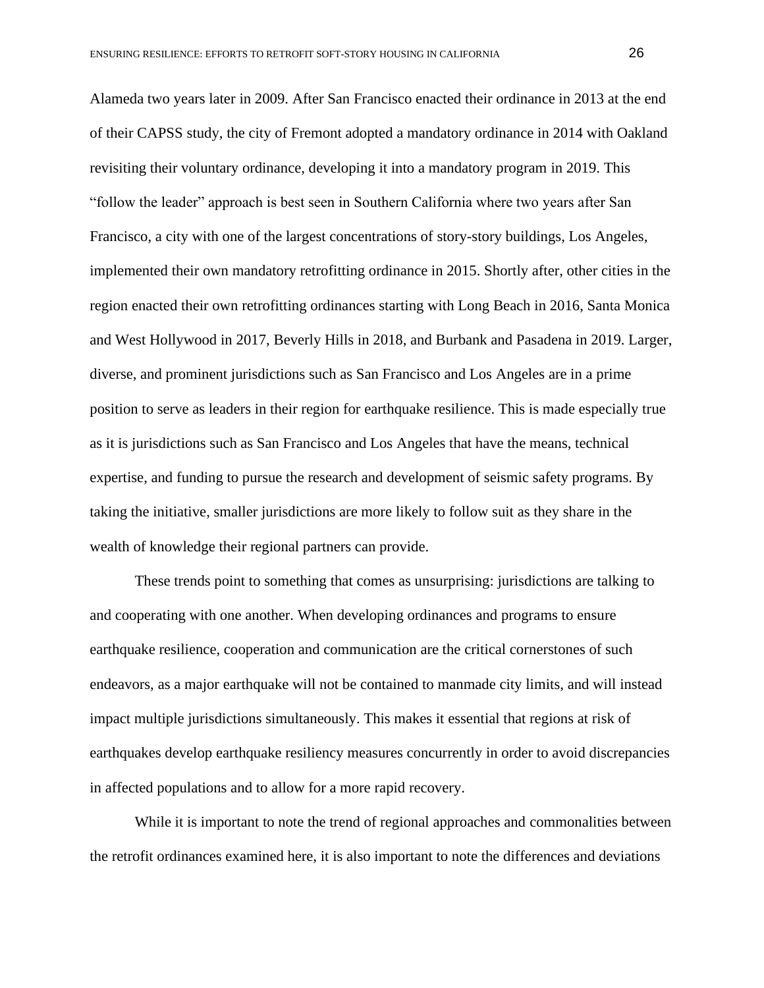Alameda two years later in 2009. After San Francisco enacted their ordinance in 2013 at the end of their CAPSS study, the city of Fremont adopted a mandatory ordinance in 2014 with Oakland revisiting their voluntary ordinance, developing it into a mandatory program in 2019. This "follow the leader" approach is best seen in Southern California where two years after San Francisco, a city with one of the largest concentrations of story-story buildings, Los Angeles, implemented their own mandatory retrofitting ordinance in 2015. Shortly after, other cities in the region enacted their own retrofitting ordinances starting with Long Beach in 2016, Santa Monica and West Hollywood in 2017, Beverly Hills in 2018, and Burbank and Pasadena in 2019. Larger, diverse, and prominent jurisdictions such as San Francisco and Los Angeles are in a prime position to serve as leaders in their region for earthquake resilience. This is made especially true as it is jurisdictions such as San Francisco and Los Angeles that have the means, technical expertise, and funding to pursue the research and development of seismic safety programs. By taking the initiative, smaller jurisdictions are more likely to follow suit as they share in the wealth of knowledge their regional partners can provide.

These trends point to something that comes as unsurprising: jurisdictions are talking to and cooperating with one another. When developing ordinances and programs to ensure earthquake resilience, cooperation and communication are the critical cornerstones of such endeavors, as a major earthquake will not be contained to manmade city limits, and will instead impact multiple jurisdictions simultaneously. This makes it essential that regions at risk of earthquakes develop earthquake resiliency measures concurrently in order to avoid discrepancies in affected populations and to allow for a more rapid recovery.

While it is important to note the trend of regional approaches and commonalities between the retrofit ordinances examined here, it is also important to note the differences and deviations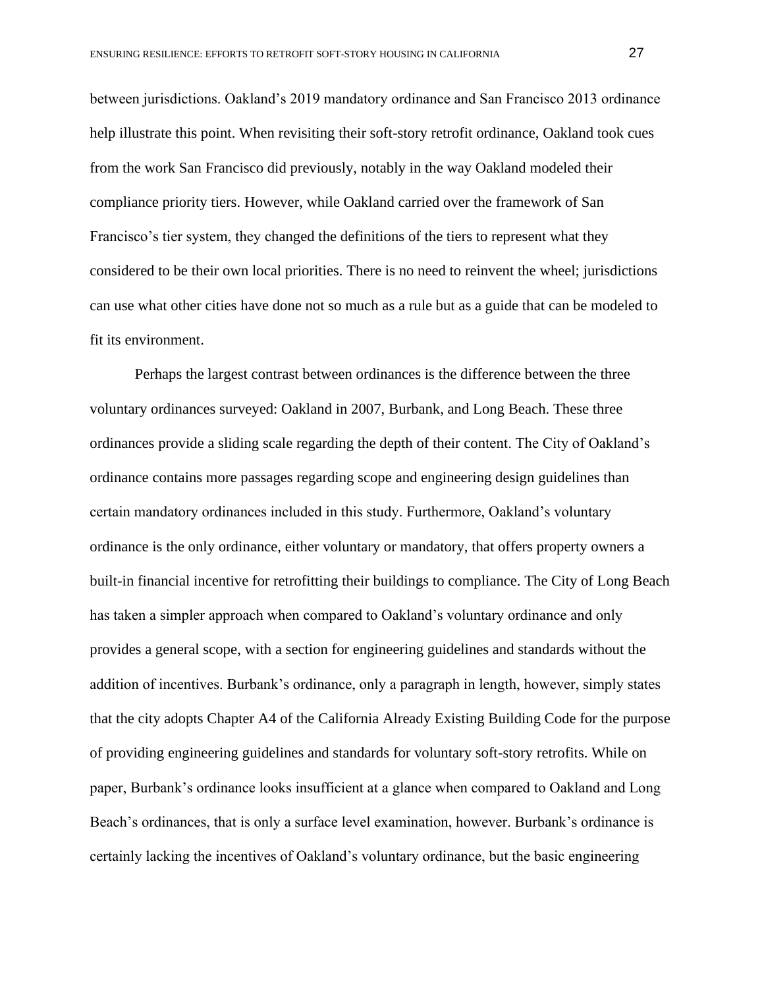between jurisdictions. Oakland's 2019 mandatory ordinance and San Francisco 2013 ordinance help illustrate this point. When revisiting their soft-story retrofit ordinance, Oakland took cues from the work San Francisco did previously, notably in the way Oakland modeled their compliance priority tiers. However, while Oakland carried over the framework of San Francisco's tier system, they changed the definitions of the tiers to represent what they considered to be their own local priorities. There is no need to reinvent the wheel; jurisdictions can use what other cities have done not so much as a rule but as a guide that can be modeled to fit its environment.

Perhaps the largest contrast between ordinances is the difference between the three voluntary ordinances surveyed: Oakland in 2007, Burbank, and Long Beach. These three ordinances provide a sliding scale regarding the depth of their content. The City of Oakland's ordinance contains more passages regarding scope and engineering design guidelines than certain mandatory ordinances included in this study. Furthermore, Oakland's voluntary ordinance is the only ordinance, either voluntary or mandatory, that offers property owners a built-in financial incentive for retrofitting their buildings to compliance. The City of Long Beach has taken a simpler approach when compared to Oakland's voluntary ordinance and only provides a general scope, with a section for engineering guidelines and standards without the addition of incentives. Burbank's ordinance, only a paragraph in length, however, simply states that the city adopts Chapter A4 of the California Already Existing Building Code for the purpose of providing engineering guidelines and standards for voluntary soft-story retrofits. While on paper, Burbank's ordinance looks insufficient at a glance when compared to Oakland and Long Beach's ordinances, that is only a surface level examination, however. Burbank's ordinance is certainly lacking the incentives of Oakland's voluntary ordinance, but the basic engineering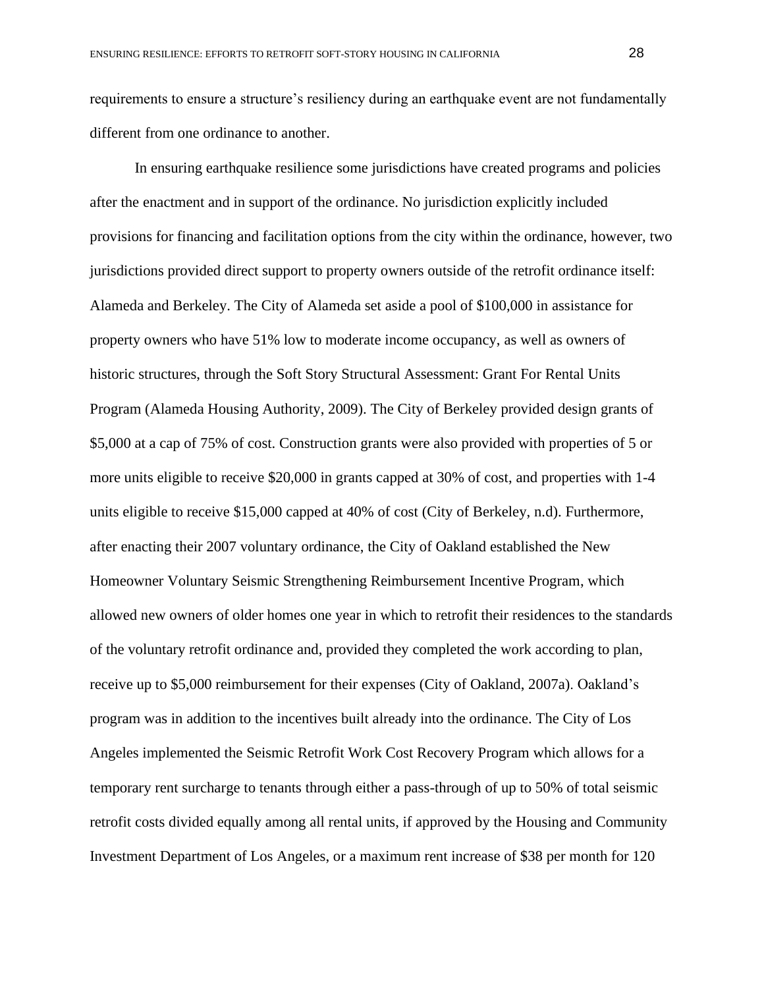requirements to ensure a structure's resiliency during an earthquake event are not fundamentally different from one ordinance to another.

In ensuring earthquake resilience some jurisdictions have created programs and policies after the enactment and in support of the ordinance. No jurisdiction explicitly included provisions for financing and facilitation options from the city within the ordinance, however, two jurisdictions provided direct support to property owners outside of the retrofit ordinance itself: Alameda and Berkeley. The City of Alameda set aside a pool of \$100,000 in assistance for property owners who have 51% low to moderate income occupancy, as well as owners of historic structures, through the Soft Story Structural Assessment: Grant For Rental Units Program (Alameda Housing Authority, 2009). The City of Berkeley provided design grants of \$5,000 at a cap of 75% of cost. Construction grants were also provided with properties of 5 or more units eligible to receive \$20,000 in grants capped at 30% of cost, and properties with 1-4 units eligible to receive \$15,000 capped at 40% of cost (City of Berkeley, n.d). Furthermore, after enacting their 2007 voluntary ordinance, the City of Oakland established the New Homeowner Voluntary Seismic Strengthening Reimbursement Incentive Program, which allowed new owners of older homes one year in which to retrofit their residences to the standards of the voluntary retrofit ordinance and, provided they completed the work according to plan, receive up to \$5,000 reimbursement for their expenses (City of Oakland, 2007a). Oakland's program was in addition to the incentives built already into the ordinance. The City of Los Angeles implemented the Seismic Retrofit Work Cost Recovery Program which allows for a temporary rent surcharge to tenants through either a pass-through of up to 50% of total seismic retrofit costs divided equally among all rental units, if approved by the Housing and Community Investment Department of Los Angeles, or a maximum rent increase of \$38 per month for 120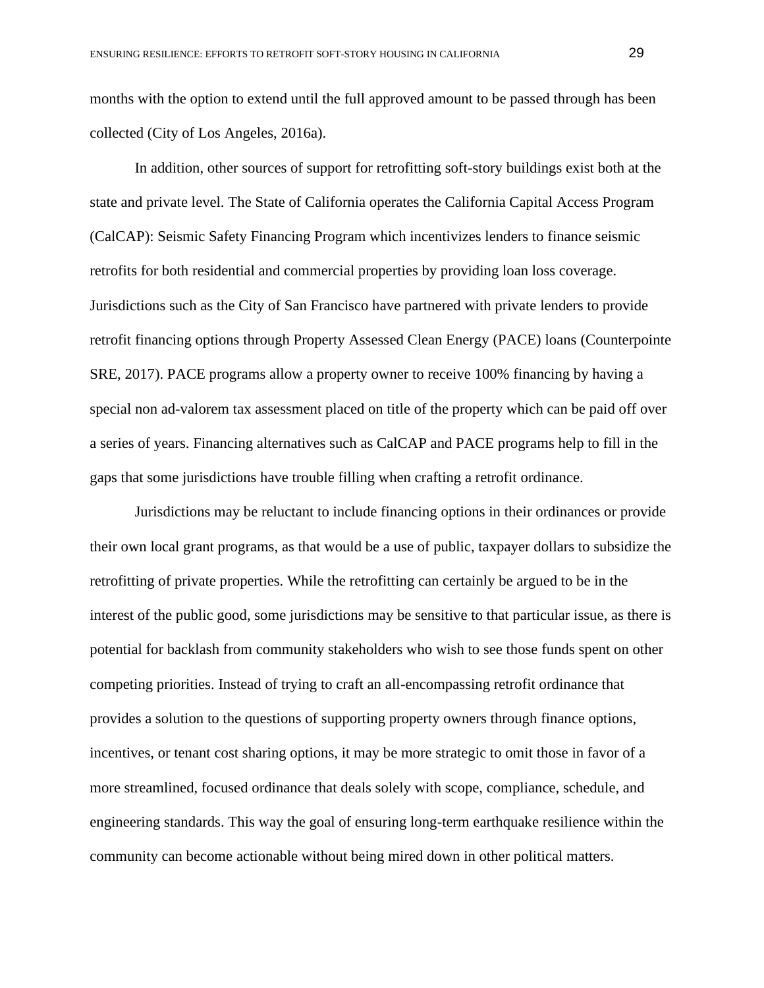months with the option to extend until the full approved amount to be passed through has been collected (City of Los Angeles, 2016a).

In addition, other sources of support for retrofitting soft-story buildings exist both at the state and private level. The State of California operates the California Capital Access Program (CalCAP): Seismic Safety Financing Program which incentivizes lenders to finance seismic retrofits for both residential and commercial properties by providing loan loss coverage. Jurisdictions such as the City of San Francisco have partnered with private lenders to provide retrofit financing options through Property Assessed Clean Energy (PACE) loans (Counterpointe SRE, 2017). PACE programs allow a property owner to receive 100% financing by having a special non ad-valorem tax assessment placed on title of the property which can be paid off over a series of years. Financing alternatives such as CalCAP and PACE programs help to fill in the gaps that some jurisdictions have trouble filling when crafting a retrofit ordinance.

Jurisdictions may be reluctant to include financing options in their ordinances or provide their own local grant programs, as that would be a use of public, taxpayer dollars to subsidize the retrofitting of private properties. While the retrofitting can certainly be argued to be in the interest of the public good, some jurisdictions may be sensitive to that particular issue, as there is potential for backlash from community stakeholders who wish to see those funds spent on other competing priorities. Instead of trying to craft an all-encompassing retrofit ordinance that provides a solution to the questions of supporting property owners through finance options, incentives, or tenant cost sharing options, it may be more strategic to omit those in favor of a more streamlined, focused ordinance that deals solely with scope, compliance, schedule, and engineering standards. This way the goal of ensuring long-term earthquake resilience within the community can become actionable without being mired down in other political matters.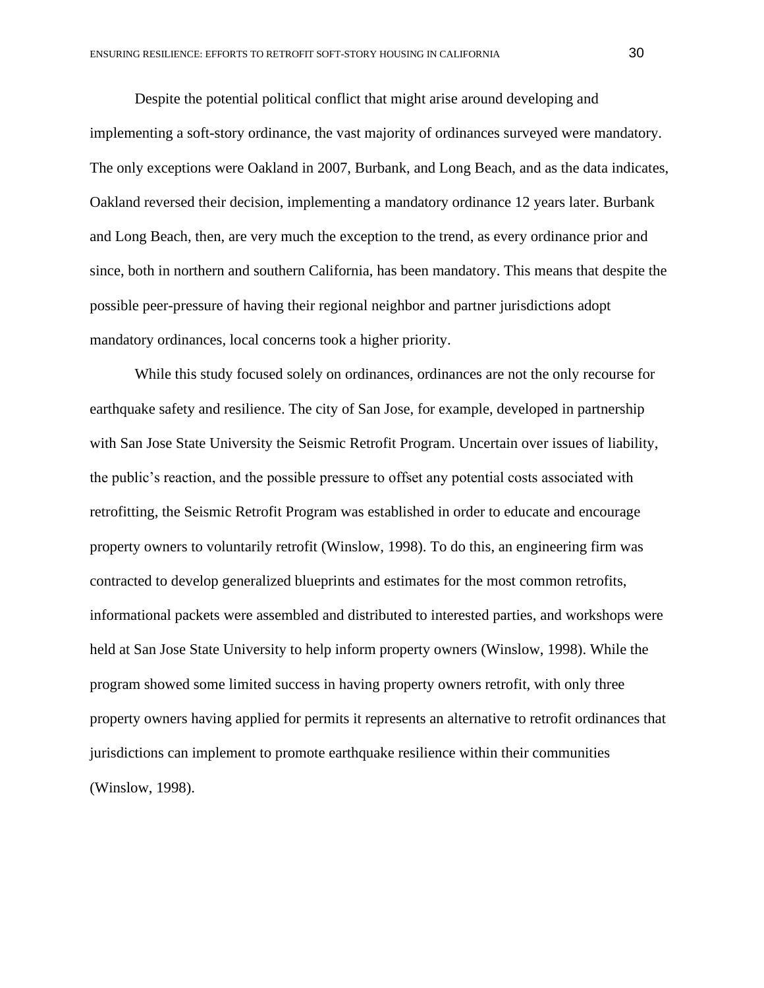Despite the potential political conflict that might arise around developing and implementing a soft-story ordinance, the vast majority of ordinances surveyed were mandatory. The only exceptions were Oakland in 2007, Burbank, and Long Beach, and as the data indicates, Oakland reversed their decision, implementing a mandatory ordinance 12 years later. Burbank and Long Beach, then, are very much the exception to the trend, as every ordinance prior and since, both in northern and southern California, has been mandatory. This means that despite the possible peer-pressure of having their regional neighbor and partner jurisdictions adopt mandatory ordinances, local concerns took a higher priority.

While this study focused solely on ordinances, ordinances are not the only recourse for earthquake safety and resilience. The city of San Jose, for example, developed in partnership with San Jose State University the Seismic Retrofit Program. Uncertain over issues of liability, the public's reaction, and the possible pressure to offset any potential costs associated with retrofitting, the Seismic Retrofit Program was established in order to educate and encourage property owners to voluntarily retrofit (Winslow, 1998). To do this, an engineering firm was contracted to develop generalized blueprints and estimates for the most common retrofits, informational packets were assembled and distributed to interested parties, and workshops were held at San Jose State University to help inform property owners (Winslow, 1998). While the program showed some limited success in having property owners retrofit, with only three property owners having applied for permits it represents an alternative to retrofit ordinances that jurisdictions can implement to promote earthquake resilience within their communities (Winslow, 1998).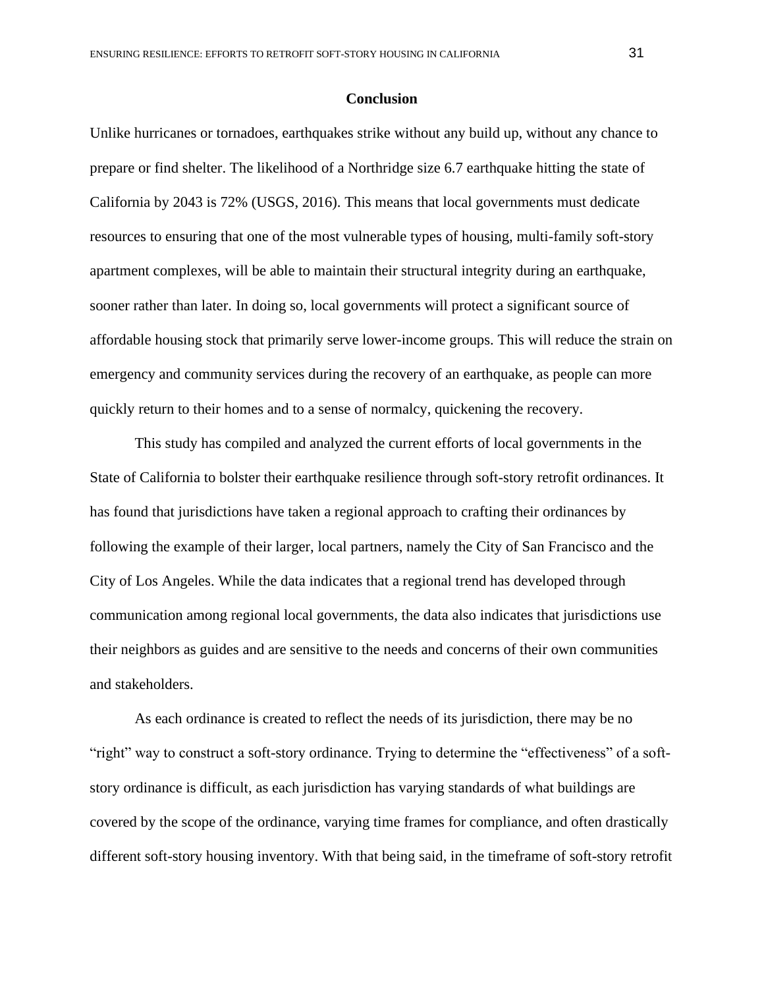#### **Conclusion**

Unlike hurricanes or tornadoes, earthquakes strike without any build up, without any chance to prepare or find shelter. The likelihood of a Northridge size 6.7 earthquake hitting the state of California by 2043 is 72% (USGS, 2016). This means that local governments must dedicate resources to ensuring that one of the most vulnerable types of housing, multi-family soft-story apartment complexes, will be able to maintain their structural integrity during an earthquake, sooner rather than later. In doing so, local governments will protect a significant source of affordable housing stock that primarily serve lower-income groups. This will reduce the strain on emergency and community services during the recovery of an earthquake, as people can more quickly return to their homes and to a sense of normalcy, quickening the recovery.

This study has compiled and analyzed the current efforts of local governments in the State of California to bolster their earthquake resilience through soft-story retrofit ordinances. It has found that jurisdictions have taken a regional approach to crafting their ordinances by following the example of their larger, local partners, namely the City of San Francisco and the City of Los Angeles. While the data indicates that a regional trend has developed through communication among regional local governments, the data also indicates that jurisdictions use their neighbors as guides and are sensitive to the needs and concerns of their own communities and stakeholders.

As each ordinance is created to reflect the needs of its jurisdiction, there may be no "right" way to construct a soft-story ordinance. Trying to determine the "effectiveness" of a softstory ordinance is difficult, as each jurisdiction has varying standards of what buildings are covered by the scope of the ordinance, varying time frames for compliance, and often drastically different soft-story housing inventory. With that being said, in the timeframe of soft-story retrofit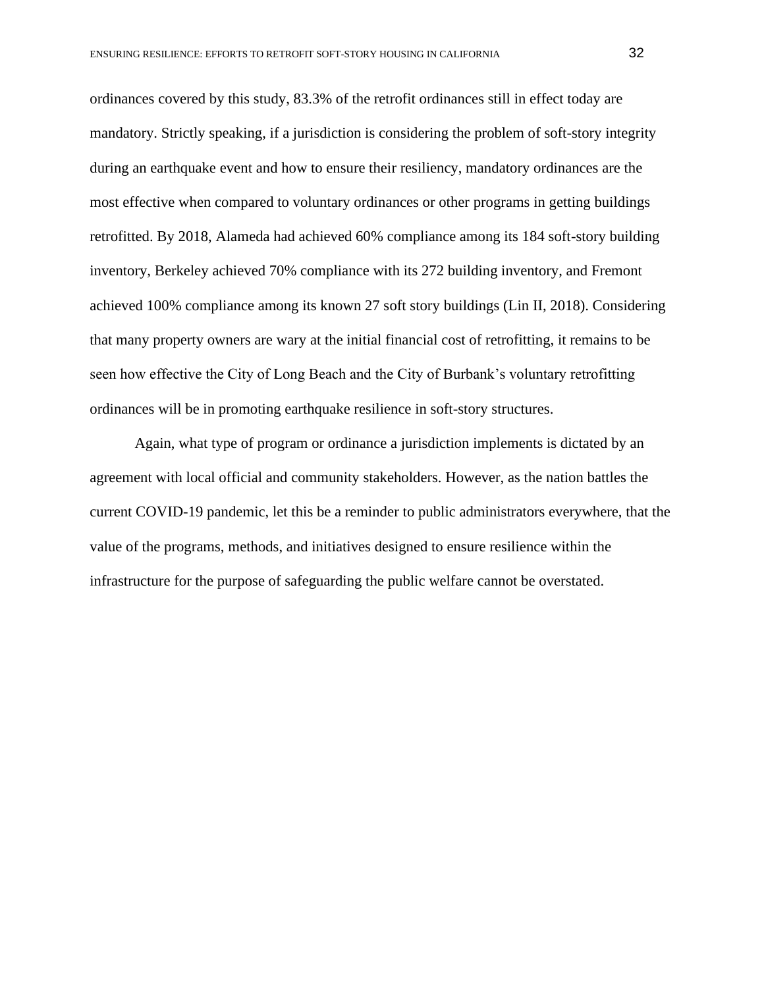ordinances covered by this study, 83.3% of the retrofit ordinances still in effect today are mandatory. Strictly speaking, if a jurisdiction is considering the problem of soft-story integrity during an earthquake event and how to ensure their resiliency, mandatory ordinances are the most effective when compared to voluntary ordinances or other programs in getting buildings retrofitted. By 2018, Alameda had achieved 60% compliance among its 184 soft-story building inventory, Berkeley achieved 70% compliance with its 272 building inventory, and Fremont achieved 100% compliance among its known 27 soft story buildings (Lin II, 2018). Considering that many property owners are wary at the initial financial cost of retrofitting, it remains to be seen how effective the City of Long Beach and the City of Burbank's voluntary retrofitting ordinances will be in promoting earthquake resilience in soft-story structures.

Again, what type of program or ordinance a jurisdiction implements is dictated by an agreement with local official and community stakeholders. However, as the nation battles the current COVID-19 pandemic, let this be a reminder to public administrators everywhere, that the value of the programs, methods, and initiatives designed to ensure resilience within the infrastructure for the purpose of safeguarding the public welfare cannot be overstated.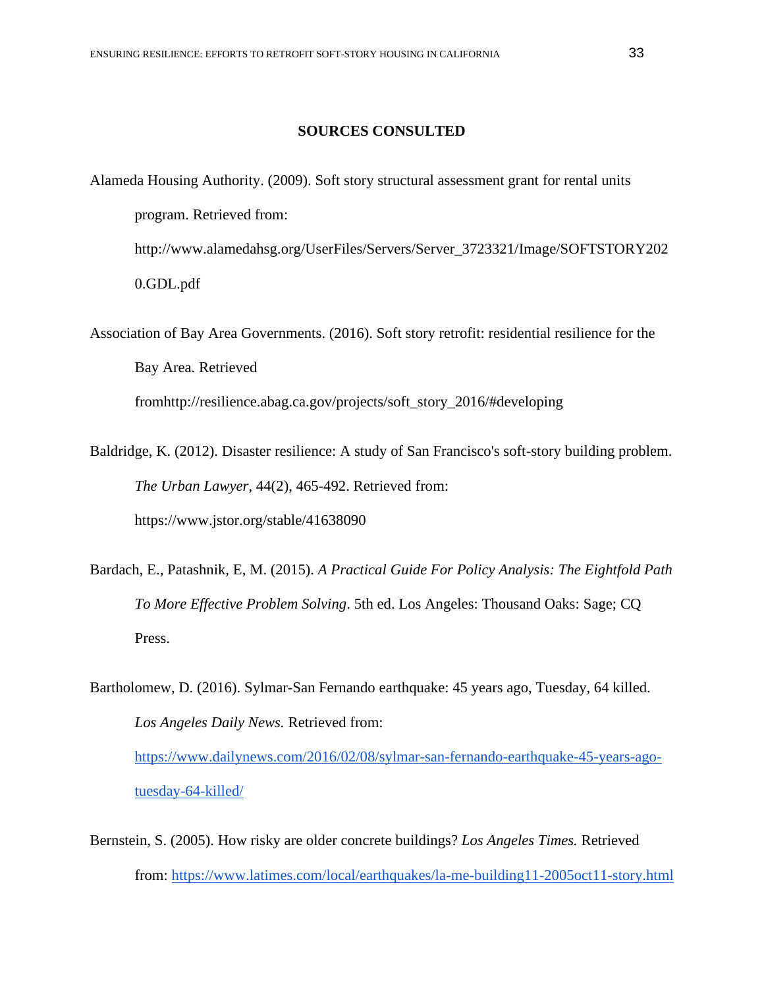### **SOURCES CONSULTED**

Alameda Housing Authority. (2009). Soft story structural assessment grant for rental units program. Retrieved from: http://www.alamedahsg.org/UserFiles/Servers/Server\_3723321/Image/SOFTSTORY202 0.GDL.pdf

Association of Bay Area Governments. (2016). Soft story retrofit: residential resilience for the Bay Area. Retrieved fromhttp://resilience.abag.ca.gov/projects/soft\_story\_2016/#developing

Baldridge, K. (2012). Disaster resilience: A study of San Francisco's soft-story building problem. *The Urban Lawyer*, 44(2), 465-492. Retrieved from: https://www.jstor.org/stable/41638090

Bardach, E., Patashnik, E, M. (2015). *A Practical Guide For Policy Analysis: The Eightfold Path To More Effective Problem Solving*. 5th ed. Los Angeles: Thousand Oaks: Sage; CQ Press.

Bartholomew, D. (2016). Sylmar-San Fernando earthquake: 45 years ago, Tuesday, 64 killed. *Los Angeles Daily News.* Retrieved from: [https://www.dailynews.com/2016/02/08/sylmar-san-fernando-earthquake-45-years-ago](https://www.dailynews.com/2016/02/08/sylmar-san-fernando-earthquake-45-years-ago-tuesday-64-killed/)[tuesday-64-killed/](https://www.dailynews.com/2016/02/08/sylmar-san-fernando-earthquake-45-years-ago-tuesday-64-killed/)

Bernstein, S. (2005). How risky are older concrete buildings? *Los Angeles Times.* Retrieved from:<https://www.latimes.com/local/earthquakes/la-me-building11-2005oct11-story.html>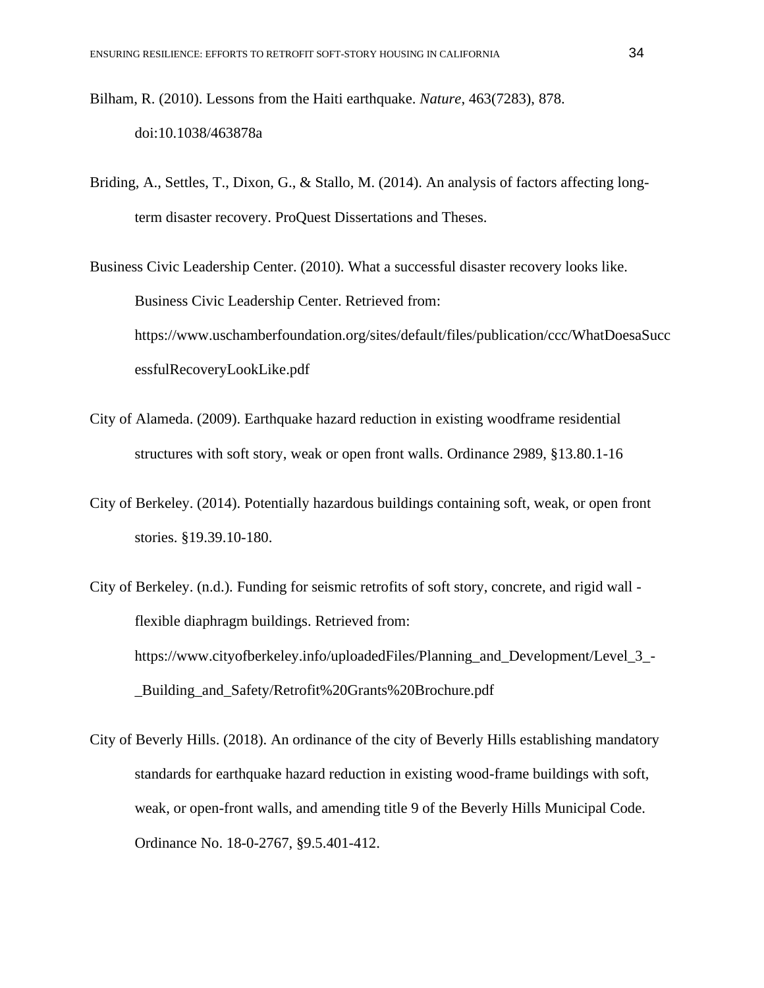- Bilham, R. (2010). Lessons from the Haiti earthquake. *Nature*, 463(7283), 878. doi:10.1038/463878a
- Briding, A., Settles, T., Dixon, G., & Stallo, M. (2014). An analysis of factors affecting longterm disaster recovery. ProQuest Dissertations and Theses.

Business Civic Leadership Center. (2010). What a successful disaster recovery looks like. Business Civic Leadership Center. Retrieved from: https://www.uschamberfoundation.org/sites/default/files/publication/ccc/WhatDoesaSucc essfulRecoveryLookLike.pdf

- City of Alameda. (2009). Earthquake hazard reduction in existing woodframe residential structures with soft story, weak or open front walls. Ordinance 2989, §13.80.1-16
- City of Berkeley. (2014). Potentially hazardous buildings containing soft, weak, or open front stories. §19.39.10-180.
- City of Berkeley. (n.d.). Funding for seismic retrofits of soft story, concrete, and rigid wall flexible diaphragm buildings. Retrieved from: https://www.cityofberkeley.info/uploadedFiles/Planning\_and\_Development/Level\_3\_- \_Building\_and\_Safety/Retrofit%20Grants%20Brochure.pdf
- City of Beverly Hills. (2018). An ordinance of the city of Beverly Hills establishing mandatory standards for earthquake hazard reduction in existing wood-frame buildings with soft, weak, or open-front walls, and amending title 9 of the Beverly Hills Municipal Code. Ordinance No. 18-0-2767, §9.5.401-412.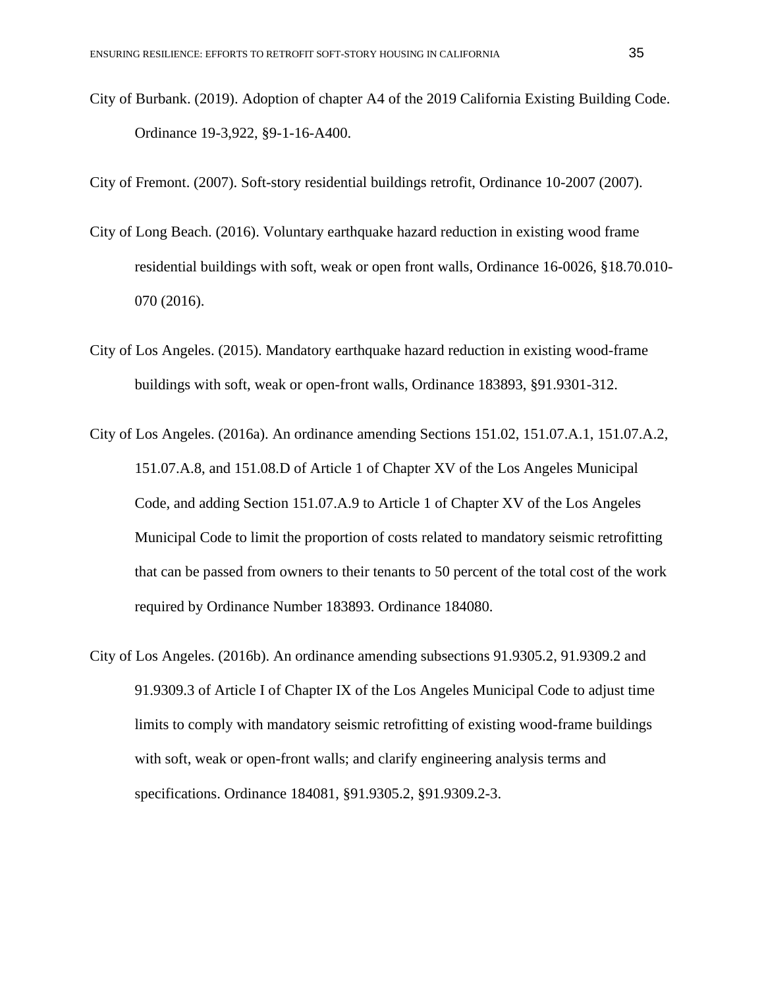City of Burbank. (2019). Adoption of chapter A4 of the 2019 California Existing Building Code. Ordinance 19-3,922, §9-1-16-A400.

City of Fremont. (2007). Soft-story residential buildings retrofit, Ordinance 10-2007 (2007).

- City of Long Beach. (2016). Voluntary earthquake hazard reduction in existing wood frame residential buildings with soft, weak or open front walls, Ordinance 16-0026, §18.70.010- 070 (2016).
- City of Los Angeles. (2015). Mandatory earthquake hazard reduction in existing wood-frame buildings with soft, weak or open-front walls, Ordinance 183893, §91.9301-312.
- City of Los Angeles. (2016a). An ordinance amending Sections 151.02, 151.07.A.1, 151.07.A.2, 151.07.A.8, and 151.08.D of Article 1 of Chapter XV of the Los Angeles Municipal Code, and adding Section 151.07.A.9 to Article 1 of Chapter XV of the Los Angeles Municipal Code to limit the proportion of costs related to mandatory seismic retrofitting that can be passed from owners to their tenants to 50 percent of the total cost of the work required by Ordinance Number 183893. Ordinance 184080.
- City of Los Angeles. (2016b). An ordinance amending subsections 91.9305.2, 91.9309.2 and 91.9309.3 of Article I of Chapter IX of the Los Angeles Municipal Code to adjust time limits to comply with mandatory seismic retrofitting of existing wood-frame buildings with soft, weak or open-front walls; and clarify engineering analysis terms and specifications. Ordinance 184081, §91.9305.2, §91.9309.2-3.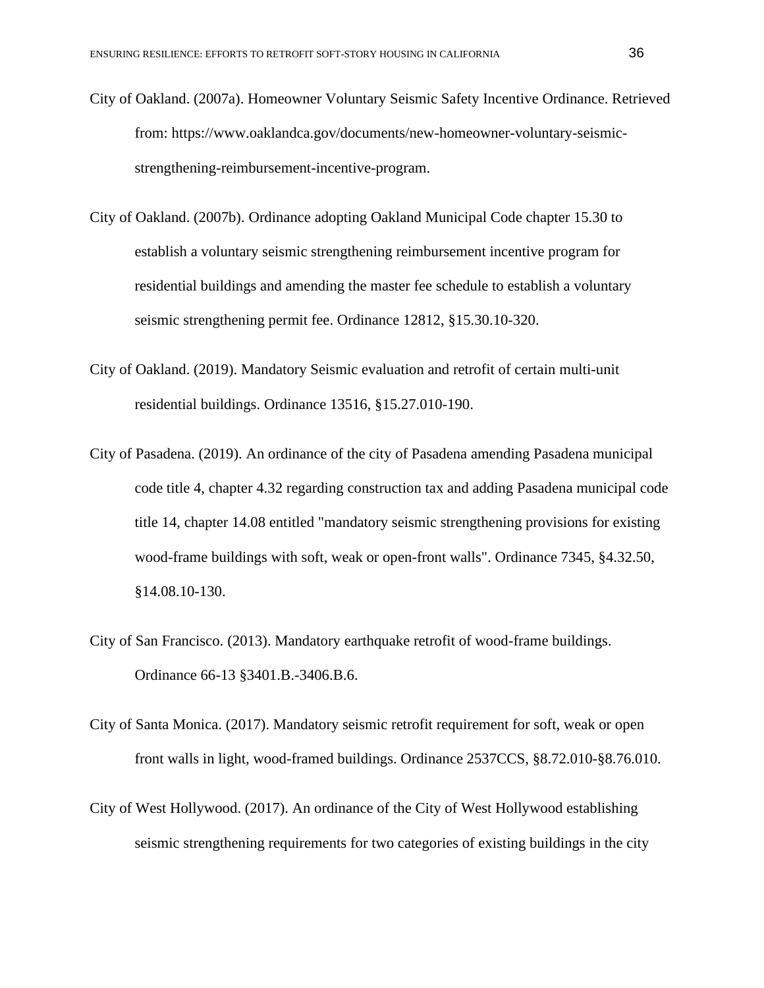- City of Oakland. (2007a). Homeowner Voluntary Seismic Safety Incentive Ordinance. Retrieved from: https://www.oaklandca.gov/documents/new-homeowner-voluntary-seismicstrengthening-reimbursement-incentive-program.
- City of Oakland. (2007b). Ordinance adopting Oakland Municipal Code chapter 15.30 to establish a voluntary seismic strengthening reimbursement incentive program for residential buildings and amending the master fee schedule to establish a voluntary seismic strengthening permit fee. Ordinance 12812, §15.30.10-320.
- City of Oakland. (2019). Mandatory Seismic evaluation and retrofit of certain multi-unit residential buildings. Ordinance 13516, §15.27.010-190.
- City of Pasadena. (2019). An ordinance of the city of Pasadena amending Pasadena municipal code title 4, chapter 4.32 regarding construction tax and adding Pasadena municipal code title 14, chapter 14.08 entitled "mandatory seismic strengthening provisions for existing wood-frame buildings with soft, weak or open-front walls". Ordinance 7345, §4.32.50, §14.08.10-130.
- City of San Francisco. (2013). Mandatory earthquake retrofit of wood-frame buildings. Ordinance 66-13 §3401.B.-3406.B.6.
- City of Santa Monica. (2017). Mandatory seismic retrofit requirement for soft, weak or open front walls in light, wood-framed buildings. Ordinance 2537CCS, §8.72.010-§8.76.010.
- City of West Hollywood. (2017). An ordinance of the City of West Hollywood establishing seismic strengthening requirements for two categories of existing buildings in the city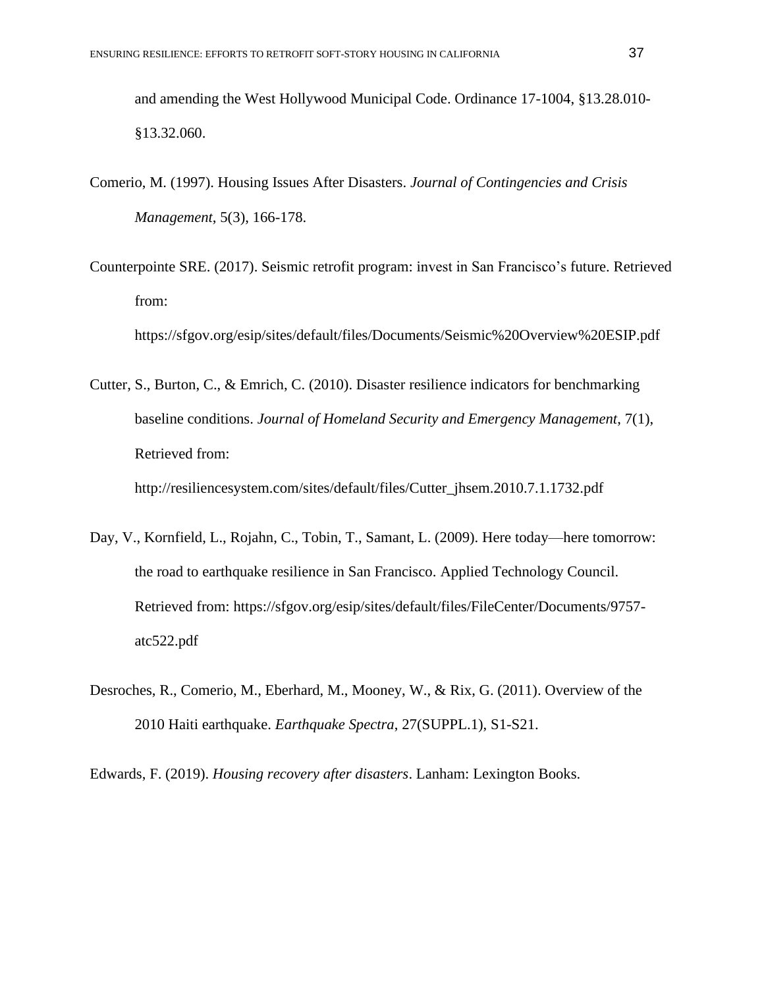and amending the West Hollywood Municipal Code. Ordinance 17-1004, §13.28.010- §13.32.060.

- Comerio, M. (1997). Housing Issues After Disasters. *Journal of Contingencies and Crisis Management*, 5(3), 166-178.
- Counterpointe SRE. (2017). Seismic retrofit program: invest in San Francisco's future. Retrieved from:

https://sfgov.org/esip/sites/default/files/Documents/Seismic%20Overview%20ESIP.pdf

Cutter, S., Burton, C., & Emrich, C. (2010). Disaster resilience indicators for benchmarking baseline conditions. *Journal of Homeland Security and Emergency Management*, 7(1), Retrieved from: http://resiliencesystem.com/sites/default/files/Cutter\_jhsem.2010.7.1.1732.pdf

- Day, V., Kornfield, L., Rojahn, C., Tobin, T., Samant, L. (2009). Here today—here tomorrow: the road to earthquake resilience in San Francisco. Applied Technology Council. Retrieved from: https://sfgov.org/esip/sites/default/files/FileCenter/Documents/9757 atc522.pdf
- Desroches, R., Comerio, M., Eberhard, M., Mooney, W., & Rix, G. (2011). Overview of the 2010 Haiti earthquake. *Earthquake Spectra*, 27(SUPPL.1), S1-S21.

Edwards, F. (2019). *Housing recovery after disasters*. Lanham: Lexington Books.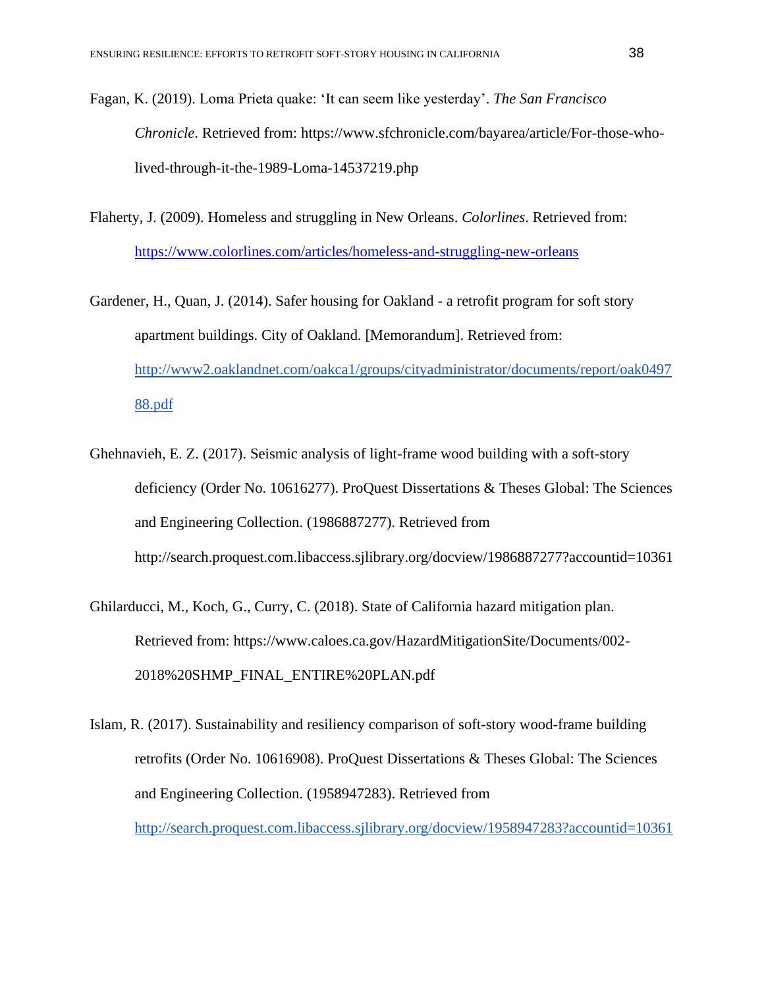- Fagan, K. (2019). Loma Prieta quake: 'It can seem like yesterday'. *The San Francisco Chronicle*. Retrieved from: https://www.sfchronicle.com/bayarea/article/For-those-wholived-through-it-the-1989-Loma-14537219.php
- Flaherty, J. (2009). Homeless and struggling in New Orleans. *Colorlines*. Retrieved from: <https://www.colorlines.com/articles/homeless-and-struggling-new-orleans>
- Gardener, H., Quan, J. (2014). Safer housing for Oakland a retrofit program for soft story apartment buildings. City of Oakland. [Memorandum]. Retrieved from: [http://www2.oaklandnet.com/oakca1/groups/cityadministrator/documents/report/oak0497](http://www2.oaklandnet.com/oakca1/groups/cityadministrator/documents/report/oak049788.pdf) [88.pdf](http://www2.oaklandnet.com/oakca1/groups/cityadministrator/documents/report/oak049788.pdf)
- Ghehnavieh, E. Z. (2017). Seismic analysis of light-frame wood building with a soft-story deficiency (Order No. 10616277). ProQuest Dissertations & Theses Global: The Sciences and Engineering Collection. (1986887277). Retrieved from http://search.proquest.com.libaccess.sjlibrary.org/docview/1986887277?accountid=10361
- Ghilarducci, M., Koch, G., Curry, C. (2018). State of California hazard mitigation plan. Retrieved from: https://www.caloes.ca.gov/HazardMitigationSite/Documents/002- 2018%20SHMP\_FINAL\_ENTIRE%20PLAN.pdf
- Islam, R. (2017). Sustainability and resiliency comparison of soft-story wood-frame building retrofits (Order No. 10616908). ProQuest Dissertations & Theses Global: The Sciences and Engineering Collection. (1958947283). Retrieved from <http://search.proquest.com.libaccess.sjlibrary.org/docview/1958947283?accountid=10361>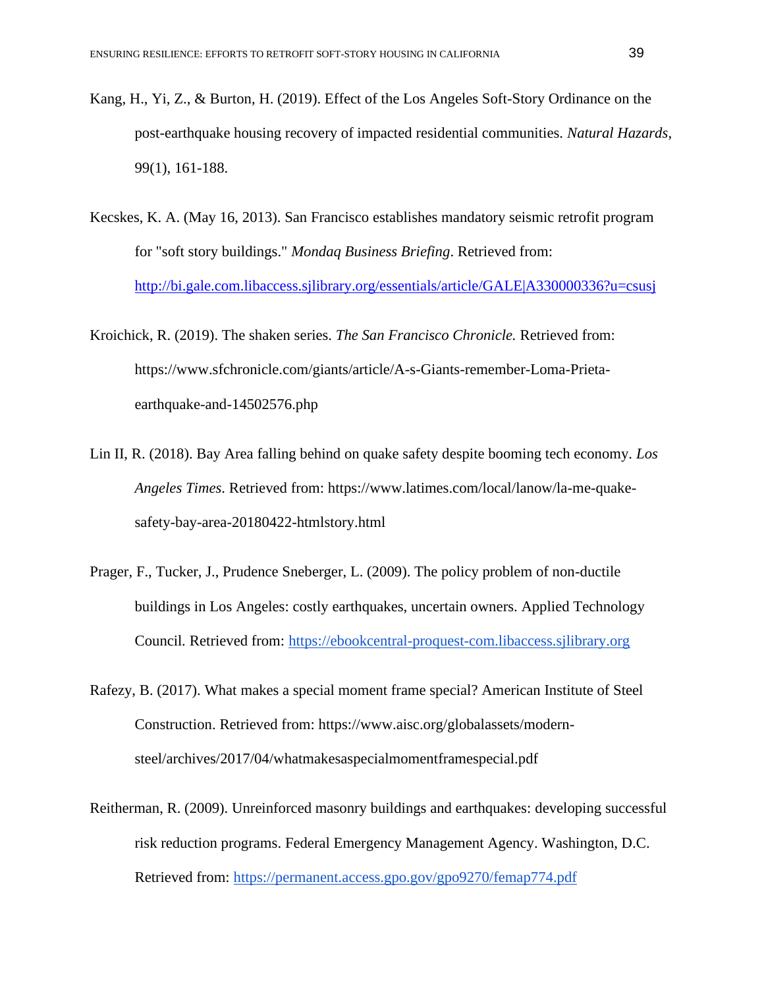- Kang, H., Yi, Z., & Burton, H. (2019). Effect of the Los Angeles Soft-Story Ordinance on the post-earthquake housing recovery of impacted residential communities. *Natural Hazards*, 99(1), 161-188.
- Kecskes, K. A. (May 16, 2013). San Francisco establishes mandatory seismic retrofit program for "soft story buildings." *Mondaq Business Briefing*. Retrieved from: <http://bi.gale.com.libaccess.sjlibrary.org/essentials/article/GALE|A330000336?u=csusj>
- Kroichick, R. (2019). The shaken series. *The San Francisco Chronicle.* Retrieved from: https://www.sfchronicle.com/giants/article/A-s-Giants-remember-Loma-Prietaearthquake-and-14502576.php
- Lin II, R. (2018). Bay Area falling behind on quake safety despite booming tech economy. *Los Angeles Times*. Retrieved from: https://www.latimes.com/local/lanow/la-me-quakesafety-bay-area-20180422-htmlstory.html
- Prager, F., Tucker, J., Prudence Sneberger, L. (2009). The policy problem of non-ductile buildings in Los Angeles: costly earthquakes, uncertain owners. Applied Technology Council*.* Retrieved from: [https://ebookcentral-proquest-com.libaccess.sjlibrary.org](https://ebookcentral-proquest-com.libaccess.sjlibrary.org/)
- Rafezy, B. (2017). What makes a special moment frame special? American Institute of Steel Construction. Retrieved from: https://www.aisc.org/globalassets/modernsteel/archives/2017/04/whatmakesaspecialmomentframespecial.pdf
- Reitherman, R. (2009). Unreinforced masonry buildings and earthquakes: developing successful risk reduction programs. Federal Emergency Management Agency. Washington, D.C. Retrieved from:<https://permanent.access.gpo.gov/gpo9270/femap774.pdf>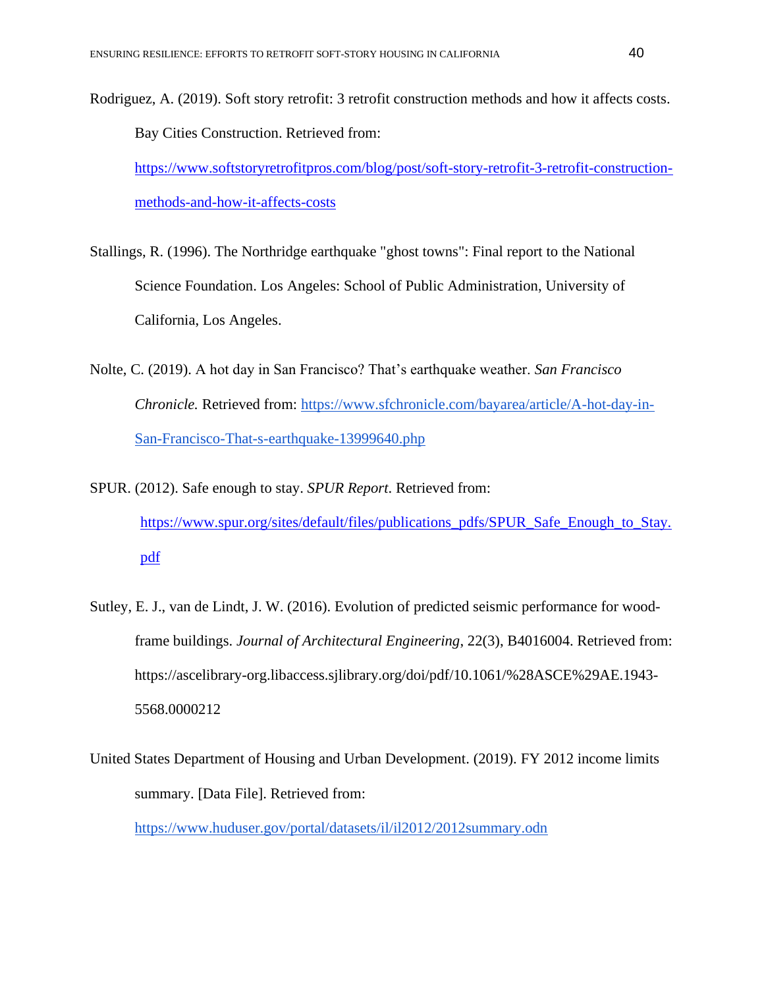Rodriguez, A. (2019). Soft story retrofit: 3 retrofit construction methods and how it affects costs. Bay Cities Construction. Retrieved from: [https://www.softstoryretrofitpros.com/blog/post/soft-story-retrofit-3-retrofit-construction](https://www.softstoryretrofitpros.com/blog/post/soft-story-retrofit-3-retrofit-construction-methods-and-how-it-affects-costs)[methods-and-how-it-affects-costs](https://www.softstoryretrofitpros.com/blog/post/soft-story-retrofit-3-retrofit-construction-methods-and-how-it-affects-costs)

- Stallings, R. (1996). The Northridge earthquake "ghost towns": Final report to the National Science Foundation. Los Angeles: School of Public Administration, University of California, Los Angeles.
- Nolte, C. (2019). A hot day in San Francisco? That's earthquake weather. *San Francisco Chronicle.* Retrieved from: [https://www.sfchronicle.com/bayarea/article/A-hot-day-in-](https://www.sfchronicle.com/bayarea/article/A-hot-day-in-San-Francisco-That-s-earthquake-13999640.php)[San-Francisco-That-s-earthquake-13999640.php](https://www.sfchronicle.com/bayarea/article/A-hot-day-in-San-Francisco-That-s-earthquake-13999640.php)
- SPUR. (2012). Safe enough to stay. *SPUR Report*. Retrieved from: [https://www.spur.org/sites/default/files/publications\\_pdfs/SPUR\\_Safe\\_Enough\\_to\\_Stay.](https://www.spur.org/sites/default/files/publications_pdfs/SPUR_Safe_Enough_to_Stay.pdf) [pdf](https://www.spur.org/sites/default/files/publications_pdfs/SPUR_Safe_Enough_to_Stay.pdf)
- Sutley, E. J., van de Lindt, J. W. (2016). Evolution of predicted seismic performance for woodframe buildings. *Journal of Architectural Engineering*, 22(3), B4016004. Retrieved from: https://ascelibrary-org.libaccess.sjlibrary.org/doi/pdf/10.1061/%28ASCE%29AE.1943- 5568.0000212
- United States Department of Housing and Urban Development. (2019). FY 2012 income limits summary. [Data File]. Retrieved from:

<https://www.huduser.gov/portal/datasets/il/il2012/2012summary.odn>